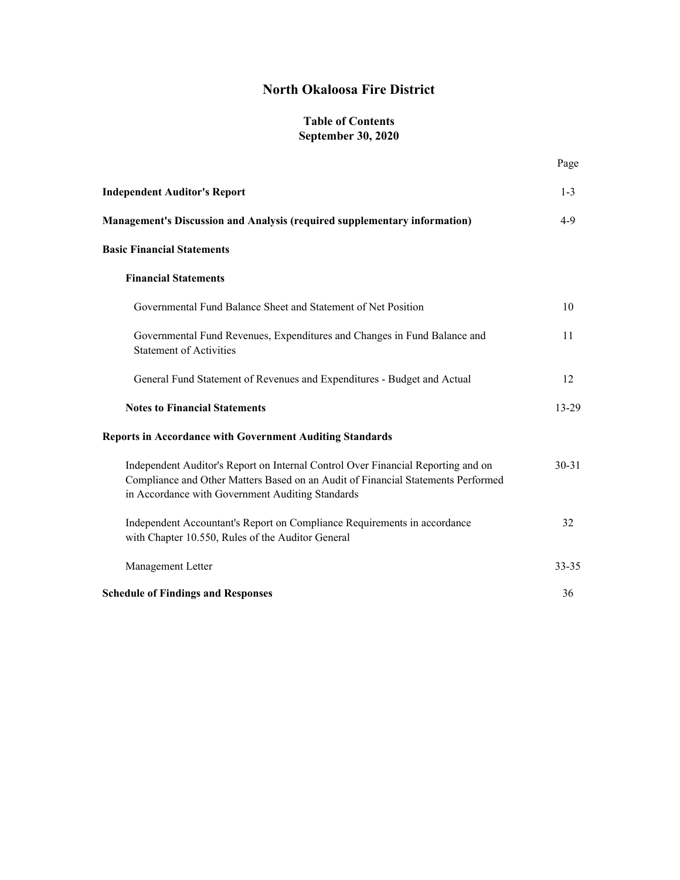# **North Okaloosa Fire District**

#### **Table of Contents September 30, 2020**

Page

| <b>Independent Auditor's Report</b>                                                                                                                                                                                      | $1 - 3$   |
|--------------------------------------------------------------------------------------------------------------------------------------------------------------------------------------------------------------------------|-----------|
| Management's Discussion and Analysis (required supplementary information)                                                                                                                                                | $4-9$     |
| <b>Basic Financial Statements</b>                                                                                                                                                                                        |           |
| <b>Financial Statements</b>                                                                                                                                                                                              |           |
| Governmental Fund Balance Sheet and Statement of Net Position                                                                                                                                                            | 10        |
| Governmental Fund Revenues, Expenditures and Changes in Fund Balance and<br><b>Statement of Activities</b>                                                                                                               | 11        |
| General Fund Statement of Revenues and Expenditures - Budget and Actual                                                                                                                                                  | 12        |
| <b>Notes to Financial Statements</b>                                                                                                                                                                                     | 13-29     |
| <b>Reports in Accordance with Government Auditing Standards</b>                                                                                                                                                          |           |
| Independent Auditor's Report on Internal Control Over Financial Reporting and on<br>Compliance and Other Matters Based on an Audit of Financial Statements Performed<br>in Accordance with Government Auditing Standards | $30 - 31$ |
| Independent Accountant's Report on Compliance Requirements in accordance<br>with Chapter 10.550, Rules of the Auditor General                                                                                            | 32        |
| Management Letter                                                                                                                                                                                                        | 33-35     |
| <b>Schedule of Findings and Responses</b>                                                                                                                                                                                | 36        |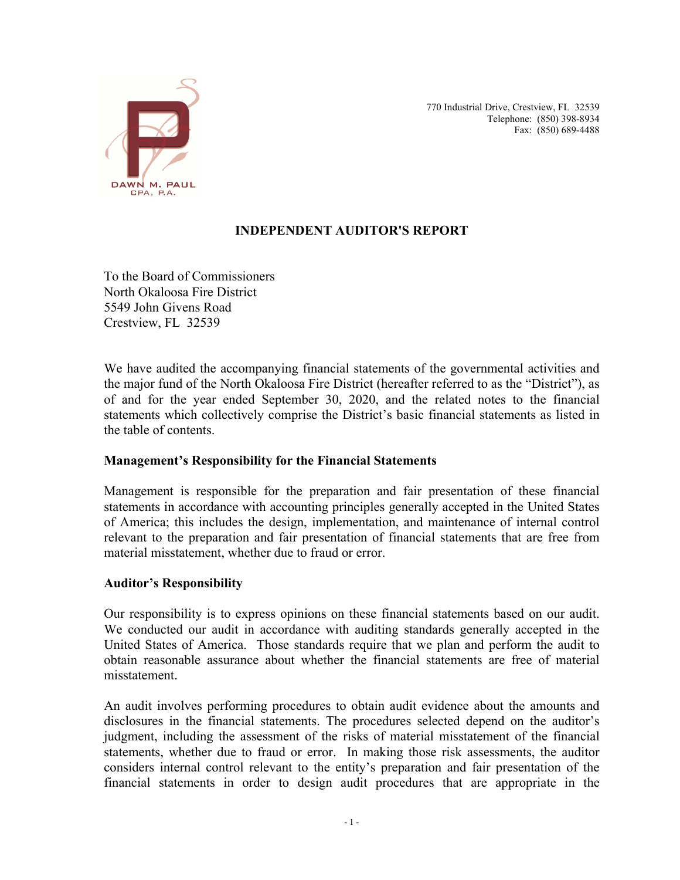

770 Industrial Drive, Crestview, FL 32539 Telephone: (850) 398-8934 Fax: (850) 689-4488

### **INDEPENDENT AUDITOR'S REPORT**

To the Board of Commissioners North Okaloosa Fire District 5549 John Givens Road Crestview, FL 32539

We have audited the accompanying financial statements of the governmental activities and the major fund of the North Okaloosa Fire District (hereafter referred to as the "District"), as of and for the year ended September 30, 2020, and the related notes to the financial statements which collectively comprise the District's basic financial statements as listed in the table of contents.

### **Management's Responsibility for the Financial Statements**

Management is responsible for the preparation and fair presentation of these financial statements in accordance with accounting principles generally accepted in the United States of America; this includes the design, implementation, and maintenance of internal control relevant to the preparation and fair presentation of financial statements that are free from material misstatement, whether due to fraud or error.

### **Auditor's Responsibility**

Our responsibility is to express opinions on these financial statements based on our audit. We conducted our audit in accordance with auditing standards generally accepted in the United States of America. Those standards require that we plan and perform the audit to obtain reasonable assurance about whether the financial statements are free of material misstatement.

An audit involves performing procedures to obtain audit evidence about the amounts and disclosures in the financial statements. The procedures selected depend on the auditor's judgment, including the assessment of the risks of material misstatement of the financial statements, whether due to fraud or error. In making those risk assessments, the auditor considers internal control relevant to the entity's preparation and fair presentation of the financial statements in order to design audit procedures that are appropriate in the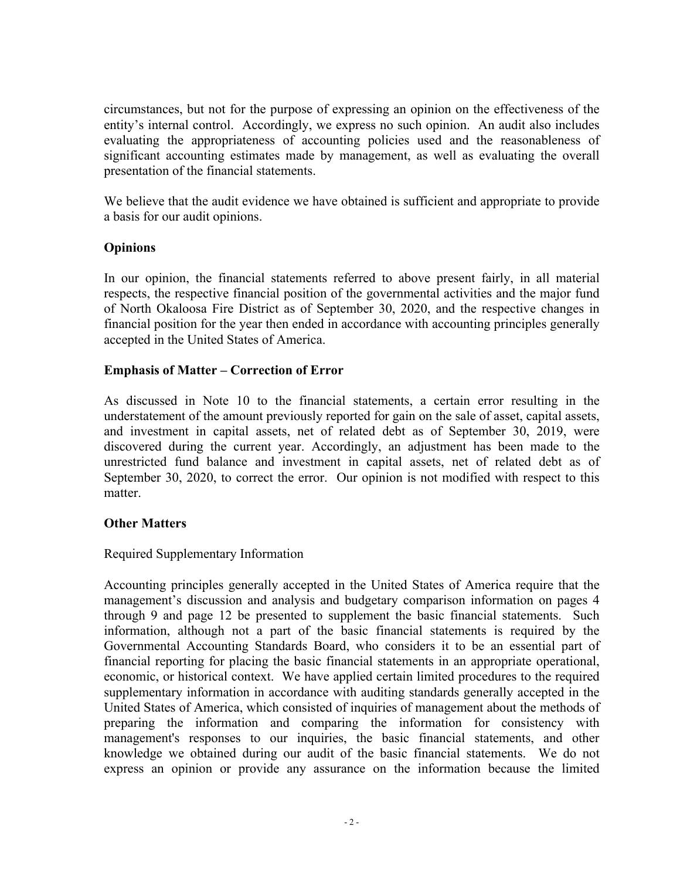circumstances, but not for the purpose of expressing an opinion on the effectiveness of the entity's internal control. Accordingly, we express no such opinion. An audit also includes evaluating the appropriateness of accounting policies used and the reasonableness of significant accounting estimates made by management, as well as evaluating the overall presentation of the financial statements.

We believe that the audit evidence we have obtained is sufficient and appropriate to provide a basis for our audit opinions.

### **Opinions**

In our opinion, the financial statements referred to above present fairly, in all material respects, the respective financial position of the governmental activities and the major fund of North Okaloosa Fire District as of September 30, 2020, and the respective changes in financial position for the year then ended in accordance with accounting principles generally accepted in the United States of America.

#### **Emphasis of Matter – Correction of Error**

As discussed in Note 10 to the financial statements, a certain error resulting in the understatement of the amount previously reported for gain on the sale of asset, capital assets, and investment in capital assets, net of related debt as of September 30, 2019, were discovered during the current year. Accordingly, an adjustment has been made to the unrestricted fund balance and investment in capital assets, net of related debt as of September 30, 2020, to correct the error. Our opinion is not modified with respect to this matter.

### **Other Matters**

### Required Supplementary Information

Accounting principles generally accepted in the United States of America require that the management's discussion and analysis and budgetary comparison information on pages 4 through 9 and page 12 be presented to supplement the basic financial statements. Such information, although not a part of the basic financial statements is required by the Governmental Accounting Standards Board, who considers it to be an essential part of financial reporting for placing the basic financial statements in an appropriate operational, economic, or historical context. We have applied certain limited procedures to the required supplementary information in accordance with auditing standards generally accepted in the United States of America, which consisted of inquiries of management about the methods of preparing the information and comparing the information for consistency with management's responses to our inquiries, the basic financial statements, and other knowledge we obtained during our audit of the basic financial statements. We do not express an opinion or provide any assurance on the information because the limited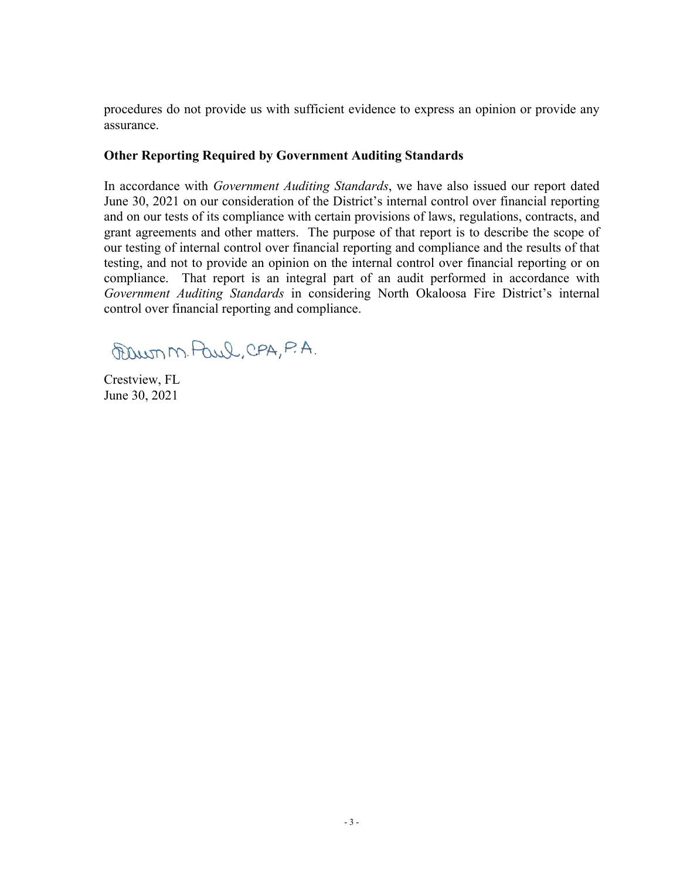procedures do not provide us with sufficient evidence to express an opinion or provide any assurance.

#### **Other Reporting Required by Government Auditing Standards**

In accordance with *Government Auditing Standards*, we have also issued our report dated June 30, 2021 on our consideration of the District's internal control over financial reporting and on our tests of its compliance with certain provisions of laws, regulations, contracts, and grant agreements and other matters. The purpose of that report is to describe the scope of our testing of internal control over financial reporting and compliance and the results of that testing, and not to provide an opinion on the internal control over financial reporting or on compliance. That report is an integral part of an audit performed in accordance with *Government Auditing Standards* in considering North Okaloosa Fire District's internal control over financial reporting and compliance.

Promon Paul, CPA, P.A.

Crestview, FL June 30, 2021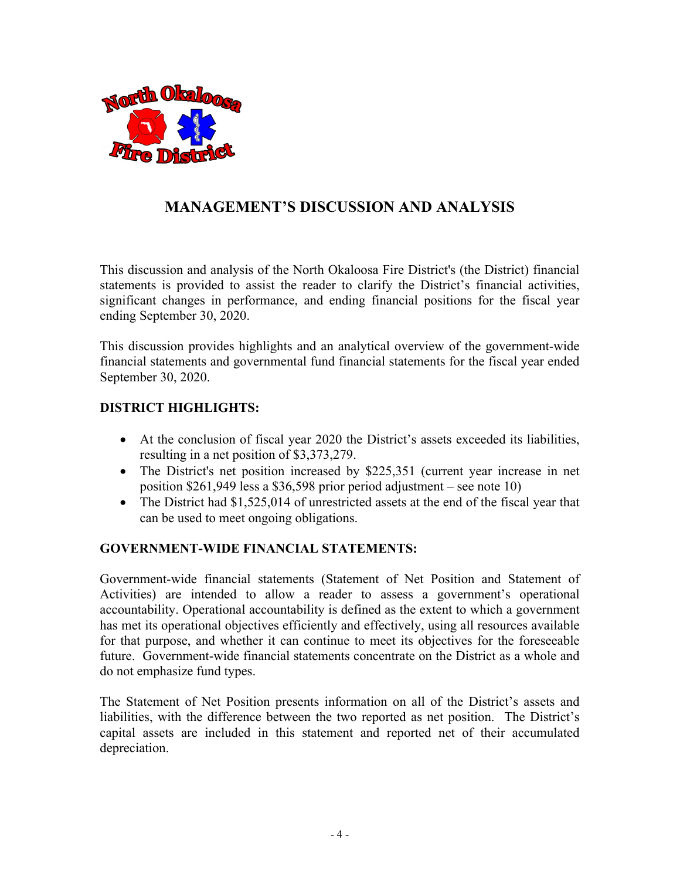

# **MANAGEMENT'S DISCUSSION AND ANALYSIS**

This discussion and analysis of the North Okaloosa Fire District's (the District) financial statements is provided to assist the reader to clarify the District's financial activities, significant changes in performance, and ending financial positions for the fiscal year ending September 30, 2020.

This discussion provides highlights and an analytical overview of the government-wide financial statements and governmental fund financial statements for the fiscal year ended September 30, 2020.

### **DISTRICT HIGHLIGHTS:**

- At the conclusion of fiscal year 2020 the District's assets exceeded its liabilities, resulting in a net position of \$3,373,279.
- The District's net position increased by \$225,351 (current year increase in net position \$261,949 less a \$36,598 prior period adjustment – see note 10)
- The District had \$1,525,014 of unrestricted assets at the end of the fiscal year that can be used to meet ongoing obligations.

### **GOVERNMENT-WIDE FINANCIAL STATEMENTS:**

Government-wide financial statements (Statement of Net Position and Statement of Activities) are intended to allow a reader to assess a government's operational accountability. Operational accountability is defined as the extent to which a government has met its operational objectives efficiently and effectively, using all resources available for that purpose, and whether it can continue to meet its objectives for the foreseeable future. Government-wide financial statements concentrate on the District as a whole and do not emphasize fund types.

The Statement of Net Position presents information on all of the District's assets and liabilities, with the difference between the two reported as net position. The District's capital assets are included in this statement and reported net of their accumulated depreciation.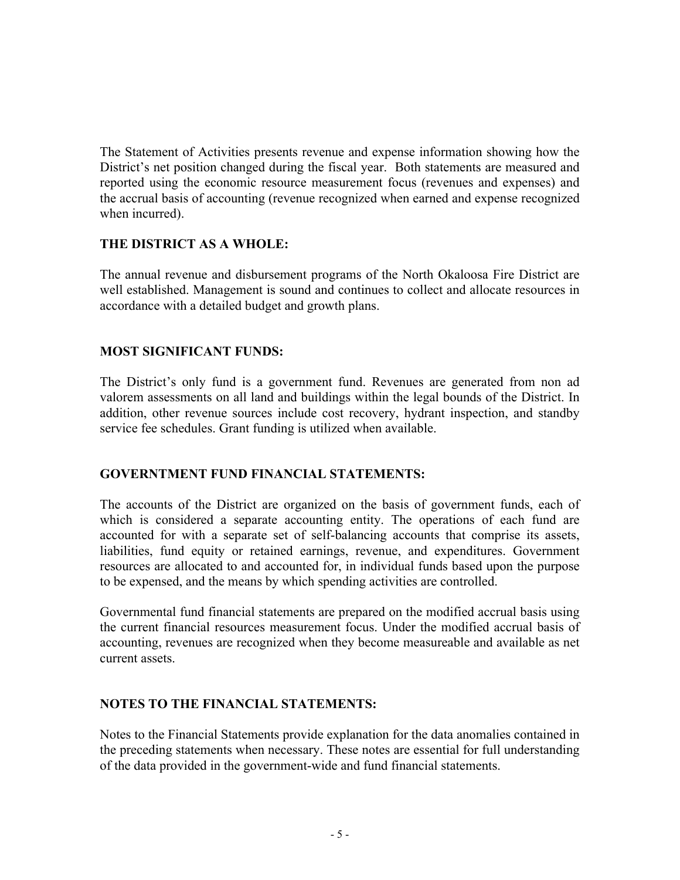The Statement of Activities presents revenue and expense information showing how the District's net position changed during the fiscal year. Both statements are measured and reported using the economic resource measurement focus (revenues and expenses) and the accrual basis of accounting (revenue recognized when earned and expense recognized when incurred).

### **THE DISTRICT AS A WHOLE:**

The annual revenue and disbursement programs of the North Okaloosa Fire District are well established. Management is sound and continues to collect and allocate resources in accordance with a detailed budget and growth plans.

#### **MOST SIGNIFICANT FUNDS:**

The District's only fund is a government fund. Revenues are generated from non ad valorem assessments on all land and buildings within the legal bounds of the District. In addition, other revenue sources include cost recovery, hydrant inspection, and standby service fee schedules. Grant funding is utilized when available.

#### **GOVERNTMENT FUND FINANCIAL STATEMENTS:**

The accounts of the District are organized on the basis of government funds, each of which is considered a separate accounting entity. The operations of each fund are accounted for with a separate set of self-balancing accounts that comprise its assets, liabilities, fund equity or retained earnings, revenue, and expenditures. Government resources are allocated to and accounted for, in individual funds based upon the purpose to be expensed, and the means by which spending activities are controlled.

Governmental fund financial statements are prepared on the modified accrual basis using the current financial resources measurement focus. Under the modified accrual basis of accounting, revenues are recognized when they become measureable and available as net current assets.

#### **NOTES TO THE FINANCIAL STATEMENTS:**

Notes to the Financial Statements provide explanation for the data anomalies contained in the preceding statements when necessary. These notes are essential for full understanding of the data provided in the government-wide and fund financial statements.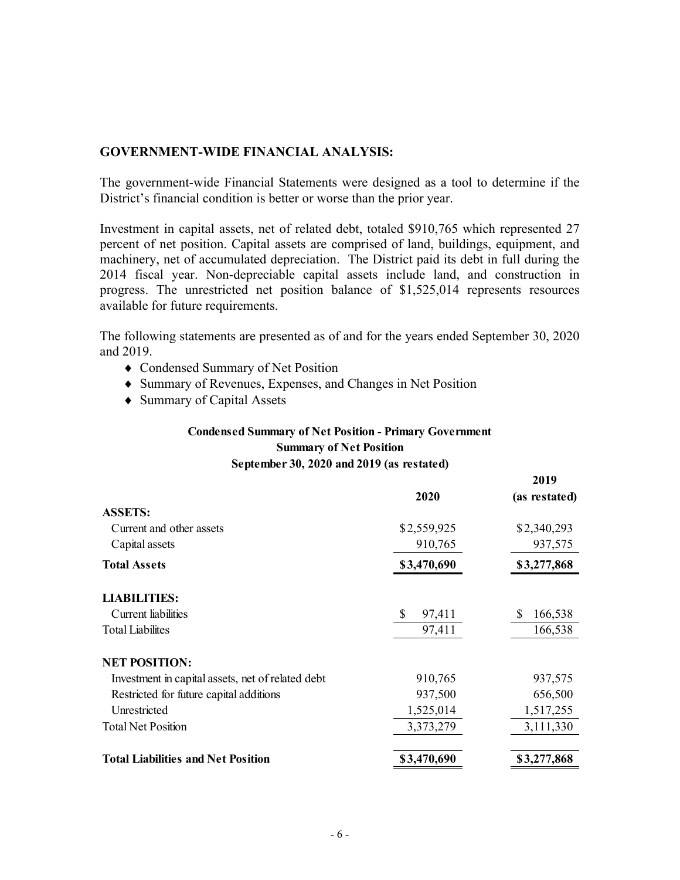#### **GOVERNMENT-WIDE FINANCIAL ANALYSIS:**

The government-wide Financial Statements were designed as a tool to determine if the District's financial condition is better or worse than the prior year.

Investment in capital assets, net of related debt, totaled \$910,765 which represented 27 percent of net position. Capital assets are comprised of land, buildings, equipment, and machinery, net of accumulated depreciation. The District paid its debt in full during the 2014 fiscal year. Non-depreciable capital assets include land, and construction in progress. The unrestricted net position balance of \$1,525,014 represents resources available for future requirements.

The following statements are presented as of and for the years ended September 30, 2020 and 2019.

- Condensed Summary of Net Position
- Summary of Revenues, Expenses, and Changes in Net Position
- ◆ Summary of Capital Assets

#### **Condensed Summary of Net Position - Primary Government Summary of Net Position September 30, 2020 and 2019 (as restated)**

|                                                   |             | 2019          |
|---------------------------------------------------|-------------|---------------|
|                                                   | 2020        | (as restated) |
| <b>ASSETS:</b>                                    |             |               |
| Current and other assets                          | \$2,559,925 | \$2,340,293   |
| Capital assets                                    | 910,765     | 937,575       |
| <b>Total Assets</b>                               | \$3,470,690 | \$3,277,868   |
| <b>LIABILITIES:</b>                               |             |               |
| Current liabilities                               | S<br>97,411 | 166,538<br>S  |
| <b>Total Liabilites</b>                           | 97,411      | 166,538       |
| <b>NET POSITION:</b>                              |             |               |
| Investment in capital assets, net of related debt | 910,765     | 937,575       |
| Restricted for future capital additions           | 937,500     | 656,500       |
| Unrestricted                                      | 1,525,014   | 1,517,255     |
| <b>Total Net Position</b>                         | 3,373,279   | 3,111,330     |
| <b>Total Liabilities and Net Position</b>         | \$3,470,690 | \$3,277,868   |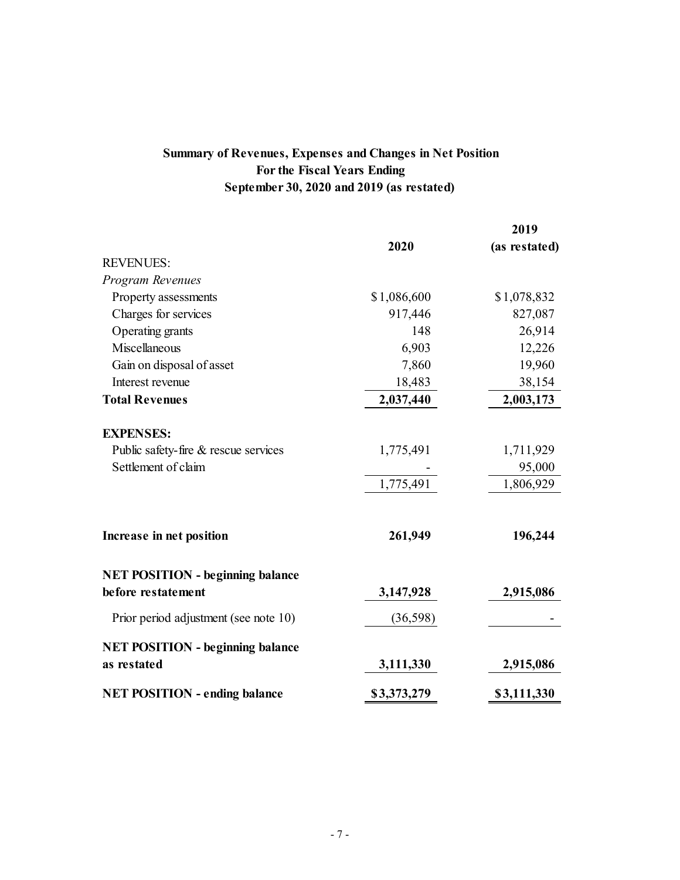# **Summary of Revenues, Expenses and Changes in Net Position For the Fiscal Years Ending September 30, 2020 and 2019 (as restated)**

|                                                                                 |                        | 2019                             |
|---------------------------------------------------------------------------------|------------------------|----------------------------------|
|                                                                                 | 2020                   | (as restated)                    |
| <b>REVENUES:</b>                                                                |                        |                                  |
| Program Revenues                                                                |                        |                                  |
| Property assessments                                                            | \$1,086,600            | \$1,078,832                      |
| Charges for services                                                            | 917,446                | 827,087                          |
| Operating grants                                                                | 148                    | 26,914                           |
| Miscellaneous                                                                   | 6,903                  | 12,226                           |
| Gain on disposal of asset                                                       | 7,860                  | 19,960                           |
| Interest revenue                                                                | 18,483                 | 38,154                           |
| <b>Total Revenues</b>                                                           | 2,037,440              | 2,003,173                        |
| <b>EXPENSES:</b><br>Public safety-fire & rescue services<br>Settlement of claim | 1,775,491<br>1,775,491 | 1,711,929<br>95,000<br>1,806,929 |
| Increase in net position                                                        | 261,949                | 196,244                          |
| <b>NET POSITION - beginning balance</b><br>before restatement                   | 3,147,928              | 2,915,086                        |
| Prior period adjustment (see note 10)                                           | (36,598)               |                                  |
| <b>NET POSITION - beginning balance</b><br>as restated                          | 3,111,330              | 2,915,086                        |
| <b>NET POSITION - ending balance</b>                                            | \$3,373,279            | \$3,111,330                      |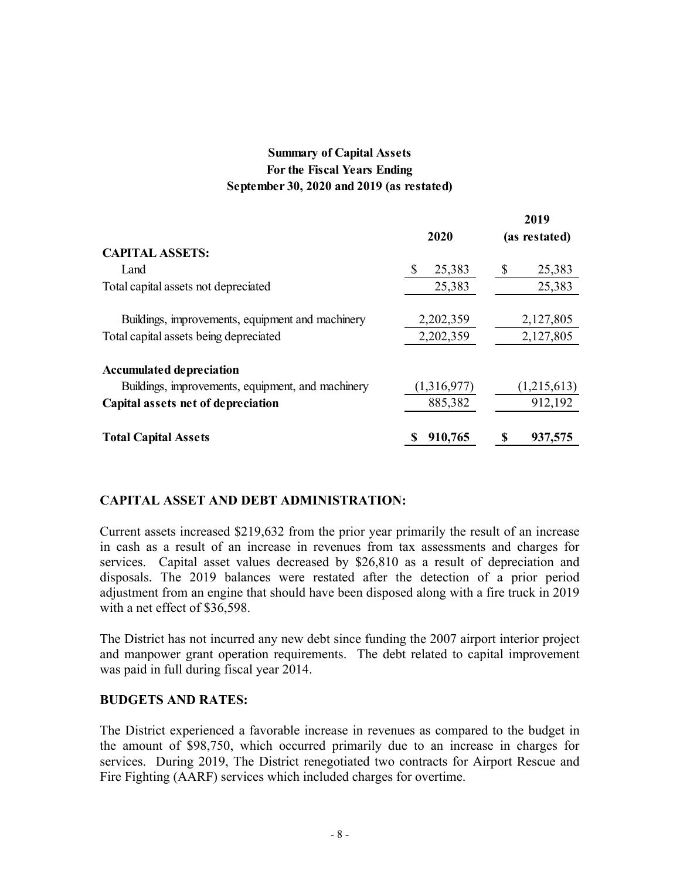### **Summary of Capital Assets For the Fiscal Years Ending September 30, 2020 and 2019 (as restated)**

**2019** 

|                                                   |             | 2V I 7        |
|---------------------------------------------------|-------------|---------------|
|                                                   | 2020        | (as restated) |
| <b>CAPITAL ASSETS:</b>                            |             |               |
| Land                                              | 25,383<br>S | 25,383<br>S   |
| Total capital assets not depreciated              | 25,383      | 25,383        |
|                                                   |             |               |
| Buildings, improvements, equipment and machinery  | 2,202,359   | 2,127,805     |
| Total capital assets being depreciated            | 2,202,359   | 2,127,805     |
|                                                   |             |               |
| <b>Accumulated depreciation</b>                   |             |               |
| Buildings, improvements, equipment, and machinery | (1,316,977) | (1,215,613)   |
| Capital assets net of depreciation                | 885,382     | 912,192       |
| <b>Total Capital Assets</b>                       | 910,765     | 937,575       |
|                                                   |             |               |

### **CAPITAL ASSET AND DEBT ADMINISTRATION:**

Current assets increased \$219,632 from the prior year primarily the result of an increase in cash as a result of an increase in revenues from tax assessments and charges for services. Capital asset values decreased by \$26,810 as a result of depreciation and disposals. The 2019 balances were restated after the detection of a prior period adjustment from an engine that should have been disposed along with a fire truck in 2019 with a net effect of \$36,598.

The District has not incurred any new debt since funding the 2007 airport interior project and manpower grant operation requirements. The debt related to capital improvement was paid in full during fiscal year 2014.

#### **BUDGETS AND RATES:**

The District experienced a favorable increase in revenues as compared to the budget in the amount of \$98,750, which occurred primarily due to an increase in charges for services. During 2019, The District renegotiated two contracts for Airport Rescue and Fire Fighting (AARF) services which included charges for overtime.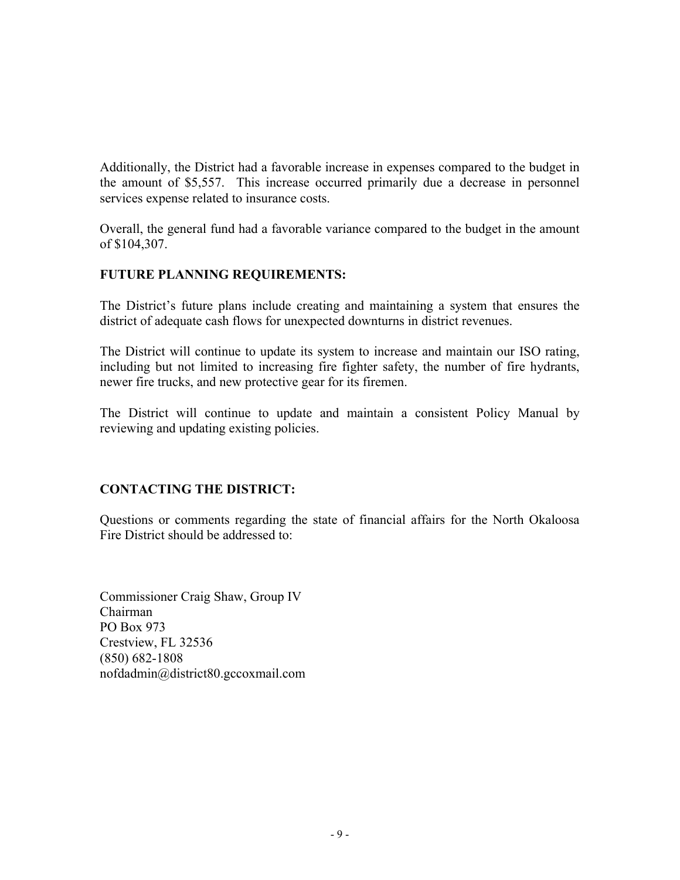Additionally, the District had a favorable increase in expenses compared to the budget in the amount of \$5,557. This increase occurred primarily due a decrease in personnel services expense related to insurance costs.

Overall, the general fund had a favorable variance compared to the budget in the amount of \$104,307.

### **FUTURE PLANNING REQUIREMENTS:**

The District's future plans include creating and maintaining a system that ensures the district of adequate cash flows for unexpected downturns in district revenues.

The District will continue to update its system to increase and maintain our ISO rating, including but not limited to increasing fire fighter safety, the number of fire hydrants, newer fire trucks, and new protective gear for its firemen.

The District will continue to update and maintain a consistent Policy Manual by reviewing and updating existing policies.

### **CONTACTING THE DISTRICT:**

Questions or comments regarding the state of financial affairs for the North Okaloosa Fire District should be addressed to:

Commissioner Craig Shaw, Group IV Chairman PO Box 973 Crestview, FL 32536 (850) 682-1808 nofdadmin@district80.gccoxmail.com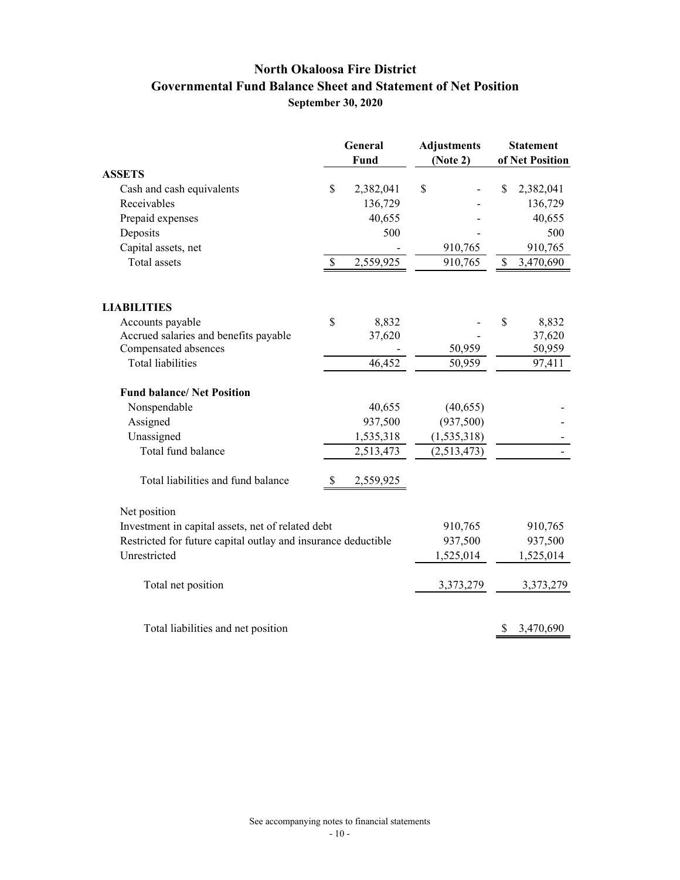# **North Okaloosa Fire District Governmental Fund Balance Sheet and Statement of Net Position September 30, 2020**

|                                                               |              | <b>General</b><br><b>Fund</b> | <b>Adjustments</b><br>(Note 2) |    | <b>Statement</b><br>of Net Position |
|---------------------------------------------------------------|--------------|-------------------------------|--------------------------------|----|-------------------------------------|
| <b>ASSETS</b>                                                 |              |                               |                                |    |                                     |
| Cash and cash equivalents                                     | $\mathbb{S}$ | 2,382,041                     | \$                             | \$ | 2,382,041                           |
| Receivables                                                   |              | 136,729                       |                                |    | 136,729                             |
| Prepaid expenses                                              |              | 40,655                        |                                |    | 40,655                              |
| Deposits                                                      |              | 500                           |                                |    | 500                                 |
| Capital assets, net                                           |              |                               | 910,765                        |    | 910,765                             |
| Total assets                                                  | \$           | 2,559,925                     | 910,765                        | \$ | 3,470,690                           |
| <b>LIABILITIES</b>                                            |              |                               |                                |    |                                     |
| Accounts payable                                              | \$           | 8,832                         |                                | \$ | 8,832                               |
| Accrued salaries and benefits payable                         |              | 37,620                        |                                |    | 37,620                              |
| Compensated absences                                          |              |                               | 50,959                         |    | 50,959                              |
| <b>Total liabilities</b>                                      |              | 46,452                        | 50,959                         |    | 97,411                              |
| <b>Fund balance/ Net Position</b>                             |              |                               |                                |    |                                     |
| Nonspendable                                                  |              | 40,655                        | (40, 655)                      |    |                                     |
| Assigned                                                      |              | 937,500                       | (937, 500)                     |    |                                     |
| Unassigned                                                    |              | 1,535,318                     | (1, 535, 318)                  |    |                                     |
| Total fund balance                                            |              | 2,513,473                     | (2,513,473)                    |    |                                     |
| Total liabilities and fund balance                            | \$           | 2,559,925                     |                                |    |                                     |
| Net position                                                  |              |                               |                                |    |                                     |
| Investment in capital assets, net of related debt             |              |                               | 910,765                        |    | 910,765                             |
| Restricted for future capital outlay and insurance deductible |              |                               | 937,500                        |    | 937,500                             |
| Unrestricted                                                  |              |                               | 1,525,014                      |    | 1,525,014                           |
| Total net position                                            |              |                               | 3,373,279                      |    | 3,373,279                           |
| Total liabilities and net position                            |              |                               |                                | \$ | 3,470,690                           |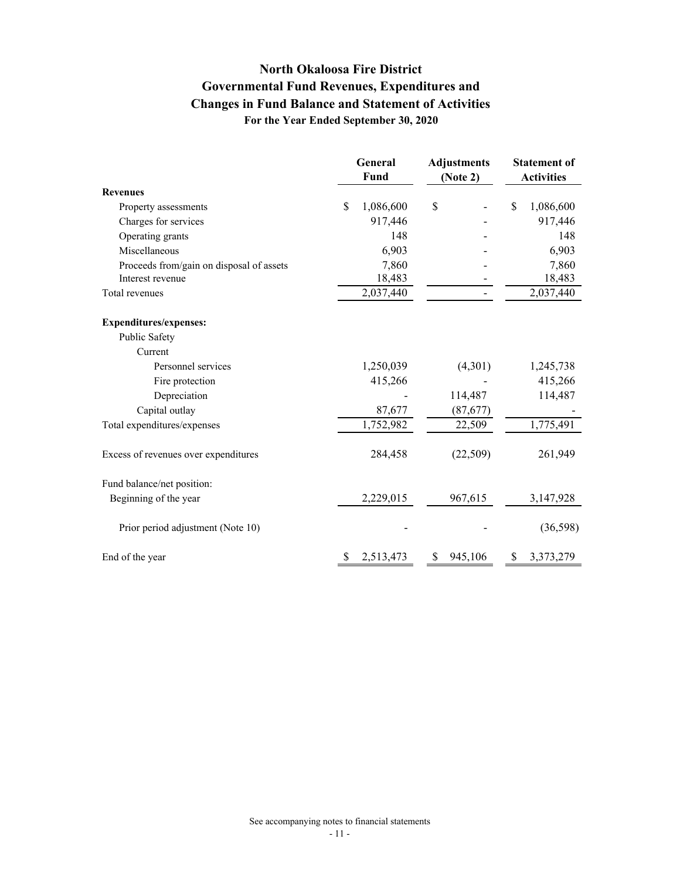# **North Okaloosa Fire District Governmental Fund Revenues, Expenditures and For the Year Ended September 30, 2020 Changes in Fund Balance and Statement of Activities**

|                                          |              | General<br>Fund | <b>Adjustments</b><br>(Note 2) | <b>Statement of</b><br><b>Activities</b> |
|------------------------------------------|--------------|-----------------|--------------------------------|------------------------------------------|
| <b>Revenues</b>                          |              |                 |                                |                                          |
| Property assessments                     | $\mathbb{S}$ | 1,086,600       | \$                             | \$<br>1,086,600                          |
| Charges for services                     |              | 917,446         |                                | 917,446                                  |
| Operating grants                         |              | 148             |                                | 148                                      |
| Miscellaneous                            |              | 6,903           |                                | 6,903                                    |
| Proceeds from/gain on disposal of assets |              | 7,860           |                                | 7,860                                    |
| Interest revenue                         |              | 18,483          |                                | 18,483                                   |
| Total revenues                           |              | 2,037,440       |                                | 2,037,440                                |
| <b>Expenditures/expenses:</b>            |              |                 |                                |                                          |
| Public Safety                            |              |                 |                                |                                          |
| Current                                  |              |                 |                                |                                          |
| Personnel services                       |              | 1,250,039       | (4,301)                        | 1,245,738                                |
| Fire protection                          |              | 415,266         |                                | 415,266                                  |
| Depreciation                             |              |                 | 114,487                        | 114,487                                  |
| Capital outlay                           |              | 87,677          | (87,677)                       |                                          |
| Total expenditures/expenses              |              | 1,752,982       | 22,509                         | 1,775,491                                |
| Excess of revenues over expenditures     |              | 284,458         | (22,509)                       | 261,949                                  |
| Fund balance/net position:               |              |                 |                                |                                          |
| Beginning of the year                    |              | 2,229,015       | 967,615                        | 3,147,928                                |
| Prior period adjustment (Note 10)        |              |                 |                                | (36, 598)                                |
| End of the year                          | S            | 2,513,473       | \$<br>945,106                  | \$<br>3,373,279                          |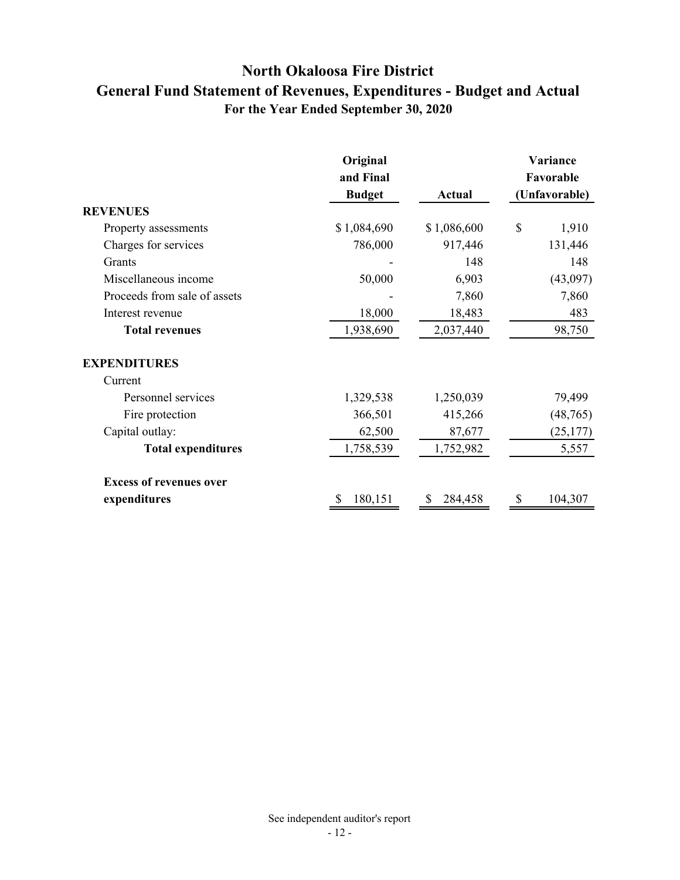# **North Okaloosa Fire District General Fund Statement of Revenues, Expenditures - Budget and Actual For the Year Ended September 30, 2020**

|                                | Original<br>and Final<br><b>Budget</b> | <b>Actual</b> | Variance<br>Favorable<br>(Unfavorable) |
|--------------------------------|----------------------------------------|---------------|----------------------------------------|
| <b>REVENUES</b>                |                                        |               |                                        |
| Property assessments           | \$1,084,690                            | \$1,086,600   | \$<br>1,910                            |
| Charges for services           | 786,000                                | 917,446       | 131,446                                |
| Grants                         |                                        | 148           | 148                                    |
| Miscellaneous income           | 50,000                                 | 6,903         | (43,097)                               |
| Proceeds from sale of assets   |                                        | 7,860         | 7,860                                  |
| Interest revenue               | 18,000                                 | 18,483        | 483                                    |
| <b>Total revenues</b>          | 1,938,690                              | 2,037,440     | 98,750                                 |
| <b>EXPENDITURES</b>            |                                        |               |                                        |
| Current                        |                                        |               |                                        |
| Personnel services             | 1,329,538                              | 1,250,039     | 79,499                                 |
| Fire protection                | 366,501                                | 415,266       | (48,765)                               |
| Capital outlay:                | 62,500                                 | 87,677        | (25, 177)                              |
| <b>Total expenditures</b>      | 1,758,539                              | 1,752,982     | 5,557                                  |
| <b>Excess of revenues over</b> |                                        |               |                                        |
| expenditures                   | 180,151                                | 284,458       | 104,307                                |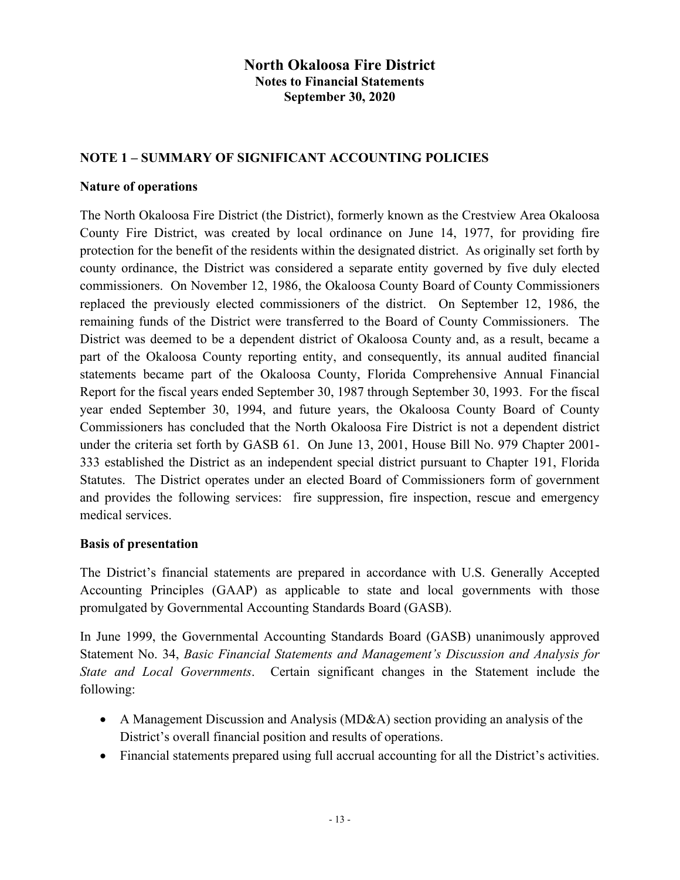### **NOTE 1 – SUMMARY OF SIGNIFICANT ACCOUNTING POLICIES**

#### **Nature of operations**

The North Okaloosa Fire District (the District), formerly known as the Crestview Area Okaloosa County Fire District, was created by local ordinance on June 14, 1977, for providing fire protection for the benefit of the residents within the designated district. As originally set forth by county ordinance, the District was considered a separate entity governed by five duly elected commissioners. On November 12, 1986, the Okaloosa County Board of County Commissioners replaced the previously elected commissioners of the district. On September 12, 1986, the remaining funds of the District were transferred to the Board of County Commissioners. The District was deemed to be a dependent district of Okaloosa County and, as a result, became a part of the Okaloosa County reporting entity, and consequently, its annual audited financial statements became part of the Okaloosa County, Florida Comprehensive Annual Financial Report for the fiscal years ended September 30, 1987 through September 30, 1993. For the fiscal year ended September 30, 1994, and future years, the Okaloosa County Board of County Commissioners has concluded that the North Okaloosa Fire District is not a dependent district under the criteria set forth by GASB 61. On June 13, 2001, House Bill No. 979 Chapter 2001- 333 established the District as an independent special district pursuant to Chapter 191, Florida Statutes. The District operates under an elected Board of Commissioners form of government and provides the following services: fire suppression, fire inspection, rescue and emergency medical services.

### **Basis of presentation**

The District's financial statements are prepared in accordance with U.S. Generally Accepted Accounting Principles (GAAP) as applicable to state and local governments with those promulgated by Governmental Accounting Standards Board (GASB).

In June 1999, the Governmental Accounting Standards Board (GASB) unanimously approved Statement No. 34, *Basic Financial Statements and Management's Discussion and Analysis for State and Local Governments*. Certain significant changes in the Statement include the following:

- A Management Discussion and Analysis (MD&A) section providing an analysis of the District's overall financial position and results of operations.
- Financial statements prepared using full accrual accounting for all the District's activities.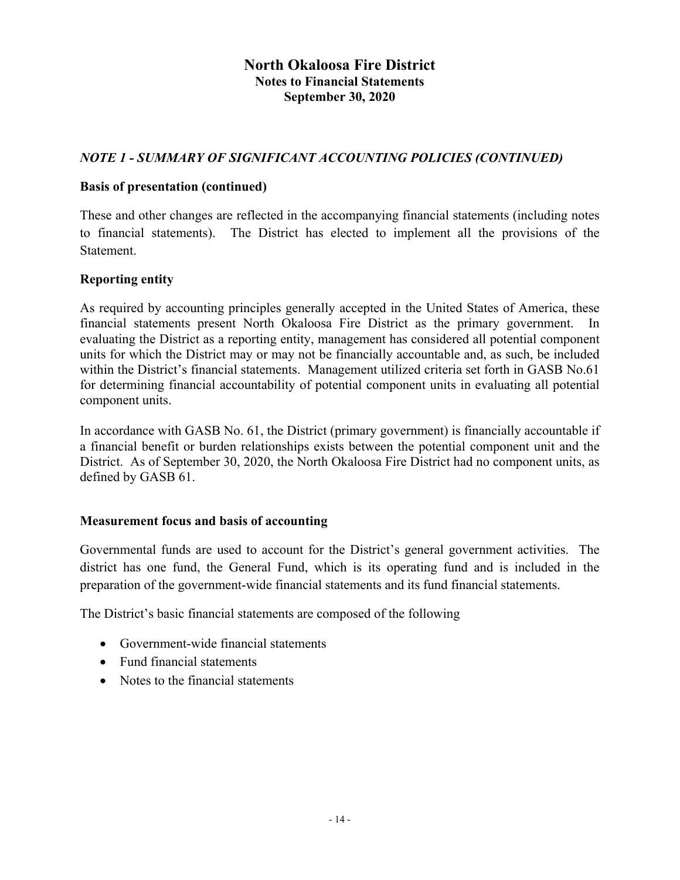## *NOTE 1 - SUMMARY OF SIGNIFICANT ACCOUNTING POLICIES (CONTINUED)*

#### **Basis of presentation (continued)**

These and other changes are reflected in the accompanying financial statements (including notes to financial statements). The District has elected to implement all the provisions of the Statement.

### **Reporting entity**

As required by accounting principles generally accepted in the United States of America, these financial statements present North Okaloosa Fire District as the primary government. In evaluating the District as a reporting entity, management has considered all potential component units for which the District may or may not be financially accountable and, as such, be included within the District's financial statements. Management utilized criteria set forth in GASB No.61 for determining financial accountability of potential component units in evaluating all potential component units.

In accordance with GASB No. 61, the District (primary government) is financially accountable if a financial benefit or burden relationships exists between the potential component unit and the District. As of September 30, 2020, the North Okaloosa Fire District had no component units, as defined by GASB 61.

#### **Measurement focus and basis of accounting**

Governmental funds are used to account for the District's general government activities. The district has one fund, the General Fund, which is its operating fund and is included in the preparation of the government-wide financial statements and its fund financial statements.

The District's basic financial statements are composed of the following

- Government-wide financial statements
- Fund financial statements
- Notes to the financial statements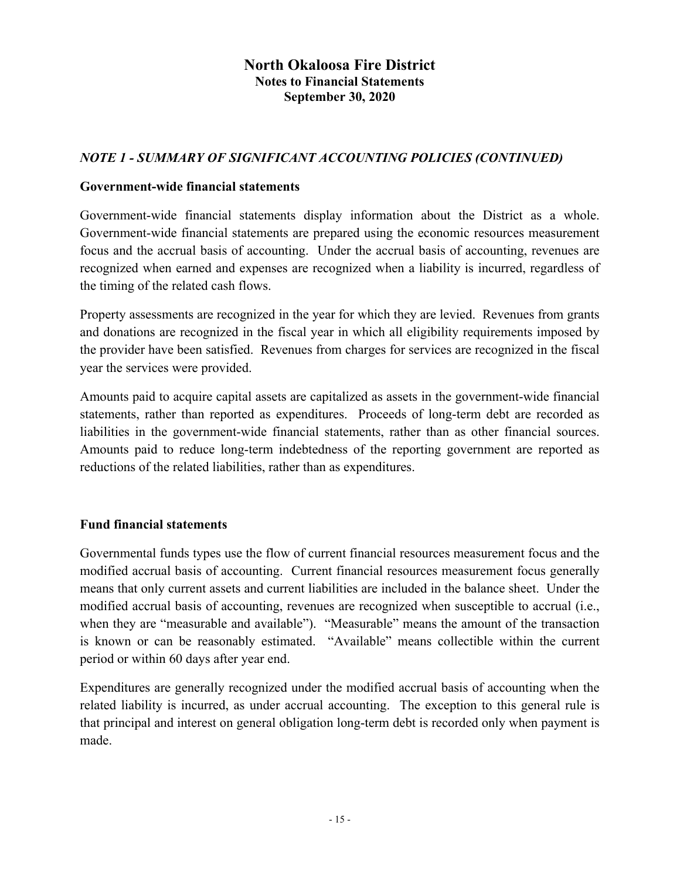### *NOTE 1 - SUMMARY OF SIGNIFICANT ACCOUNTING POLICIES (CONTINUED)*

#### **Government-wide financial statements**

Government-wide financial statements display information about the District as a whole. Government-wide financial statements are prepared using the economic resources measurement focus and the accrual basis of accounting. Under the accrual basis of accounting, revenues are recognized when earned and expenses are recognized when a liability is incurred, regardless of the timing of the related cash flows.

Property assessments are recognized in the year for which they are levied. Revenues from grants and donations are recognized in the fiscal year in which all eligibility requirements imposed by the provider have been satisfied. Revenues from charges for services are recognized in the fiscal year the services were provided.

Amounts paid to acquire capital assets are capitalized as assets in the government-wide financial statements, rather than reported as expenditures. Proceeds of long-term debt are recorded as liabilities in the government-wide financial statements, rather than as other financial sources. Amounts paid to reduce long-term indebtedness of the reporting government are reported as reductions of the related liabilities, rather than as expenditures.

### **Fund financial statements**

Governmental funds types use the flow of current financial resources measurement focus and the modified accrual basis of accounting. Current financial resources measurement focus generally means that only current assets and current liabilities are included in the balance sheet. Under the modified accrual basis of accounting, revenues are recognized when susceptible to accrual (i.e., when they are "measurable and available"). "Measurable" means the amount of the transaction is known or can be reasonably estimated. "Available" means collectible within the current period or within 60 days after year end.

Expenditures are generally recognized under the modified accrual basis of accounting when the related liability is incurred, as under accrual accounting. The exception to this general rule is that principal and interest on general obligation long-term debt is recorded only when payment is made.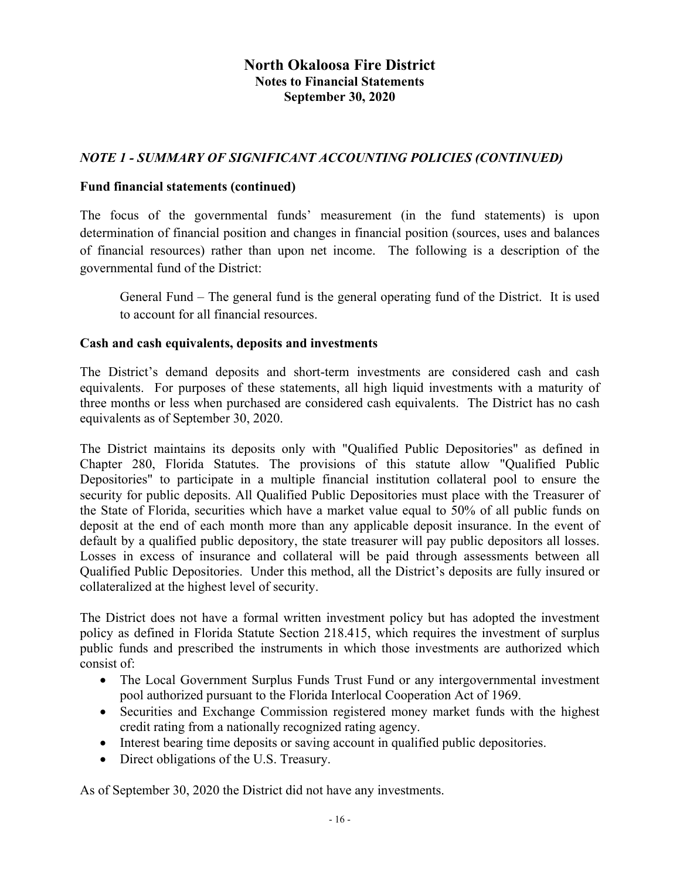### *NOTE 1 - SUMMARY OF SIGNIFICANT ACCOUNTING POLICIES (CONTINUED)*

#### **Fund financial statements (continued)**

The focus of the governmental funds' measurement (in the fund statements) is upon determination of financial position and changes in financial position (sources, uses and balances of financial resources) rather than upon net income. The following is a description of the governmental fund of the District:

General Fund – The general fund is the general operating fund of the District. It is used to account for all financial resources.

#### **Cash and cash equivalents, deposits and investments**

The District's demand deposits and short-term investments are considered cash and cash equivalents. For purposes of these statements, all high liquid investments with a maturity of three months or less when purchased are considered cash equivalents. The District has no cash equivalents as of September 30, 2020.

The District maintains its deposits only with "Qualified Public Depositories" as defined in Chapter 280, Florida Statutes. The provisions of this statute allow "Qualified Public Depositories" to participate in a multiple financial institution collateral pool to ensure the security for public deposits. All Qualified Public Depositories must place with the Treasurer of the State of Florida, securities which have a market value equal to 50% of all public funds on deposit at the end of each month more than any applicable deposit insurance. In the event of default by a qualified public depository, the state treasurer will pay public depositors all losses. Losses in excess of insurance and collateral will be paid through assessments between all Qualified Public Depositories. Under this method, all the District's deposits are fully insured or collateralized at the highest level of security.

The District does not have a formal written investment policy but has adopted the investment policy as defined in Florida Statute Section 218.415, which requires the investment of surplus public funds and prescribed the instruments in which those investments are authorized which consist of:

- The Local Government Surplus Funds Trust Fund or any intergovernmental investment pool authorized pursuant to the Florida Interlocal Cooperation Act of 1969.
- Securities and Exchange Commission registered money market funds with the highest credit rating from a nationally recognized rating agency.
- Interest bearing time deposits or saving account in qualified public depositories.
- Direct obligations of the U.S. Treasury.

As of September 30, 2020 the District did not have any investments.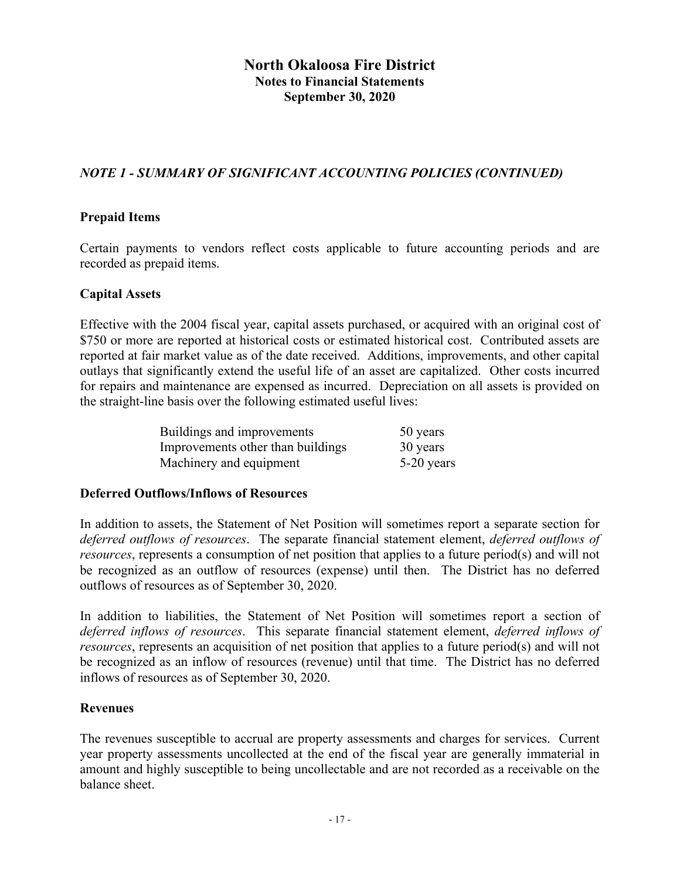# *NOTE 1 - SUMMARY OF SIGNIFICANT ACCOUNTING POLICIES (CONTINUED)*

#### **Prepaid Items**

Certain payments to vendors reflect costs applicable to future accounting periods and are recorded as prepaid items.

#### **Capital Assets**

Effective with the 2004 fiscal year, capital assets purchased, or acquired with an original cost of \$750 or more are reported at historical costs or estimated historical cost. Contributed assets are reported at fair market value as of the date received. Additions, improvements, and other capital outlays that significantly extend the useful life of an asset are capitalized. Other costs incurred for repairs and maintenance are expensed as incurred. Depreciation on all assets is provided on the straight-line basis over the following estimated useful lives:

| Buildings and improvements        | 50 years     |
|-----------------------------------|--------------|
| Improvements other than buildings | 30 years     |
| Machinery and equipment           | $5-20$ years |

#### **Deferred Outflows/Inflows of Resources**

In addition to assets, the Statement of Net Position will sometimes report a separate section for *deferred outflows of resources*. The separate financial statement element, *deferred outflows of resources*, represents a consumption of net position that applies to a future period(s) and will not be recognized as an outflow of resources (expense) until then. The District has no deferred outflows of resources as of September 30, 2020.

In addition to liabilities, the Statement of Net Position will sometimes report a section of *deferred inflows of resources*. This separate financial statement element, *deferred inflows of resources*, represents an acquisition of net position that applies to a future period(s) and will not be recognized as an inflow of resources (revenue) until that time. The District has no deferred inflows of resources as of September 30, 2020.

#### **Revenues**

The revenues susceptible to accrual are property assessments and charges for services. Current year property assessments uncollected at the end of the fiscal year are generally immaterial in amount and highly susceptible to being uncollectable and are not recorded as a receivable on the balance sheet.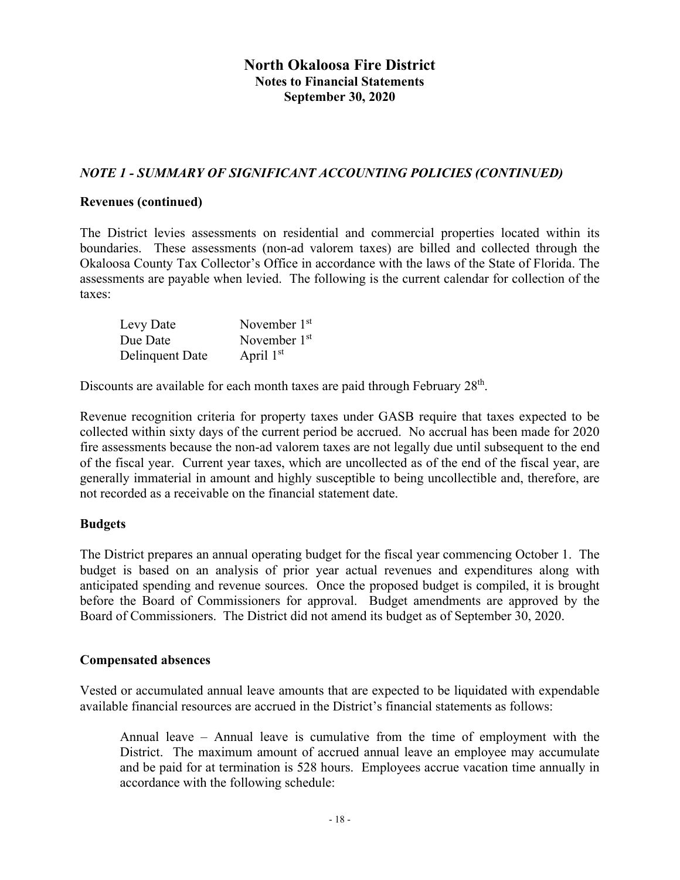## *NOTE 1 - SUMMARY OF SIGNIFICANT ACCOUNTING POLICIES (CONTINUED)*

#### **Revenues (continued)**

The District levies assessments on residential and commercial properties located within its boundaries. These assessments (non-ad valorem taxes) are billed and collected through the Okaloosa County Tax Collector's Office in accordance with the laws of the State of Florida. The assessments are payable when levied. The following is the current calendar for collection of the taxes:

| Levy Date       | November 1 <sup>st</sup> |
|-----------------|--------------------------|
| Due Date        | November 1 <sup>st</sup> |
| Delinquent Date | April $1st$              |

Discounts are available for each month taxes are paid through February 28<sup>th</sup>.

Revenue recognition criteria for property taxes under GASB require that taxes expected to be collected within sixty days of the current period be accrued. No accrual has been made for 2020 fire assessments because the non-ad valorem taxes are not legally due until subsequent to the end of the fiscal year. Current year taxes, which are uncollected as of the end of the fiscal year, are generally immaterial in amount and highly susceptible to being uncollectible and, therefore, are not recorded as a receivable on the financial statement date.

### **Budgets**

The District prepares an annual operating budget for the fiscal year commencing October 1. The budget is based on an analysis of prior year actual revenues and expenditures along with anticipated spending and revenue sources. Once the proposed budget is compiled, it is brought before the Board of Commissioners for approval. Budget amendments are approved by the Board of Commissioners. The District did not amend its budget as of September 30, 2020.

#### **Compensated absences**

Vested or accumulated annual leave amounts that are expected to be liquidated with expendable available financial resources are accrued in the District's financial statements as follows:

Annual leave – Annual leave is cumulative from the time of employment with the District. The maximum amount of accrued annual leave an employee may accumulate and be paid for at termination is 528 hours. Employees accrue vacation time annually in accordance with the following schedule: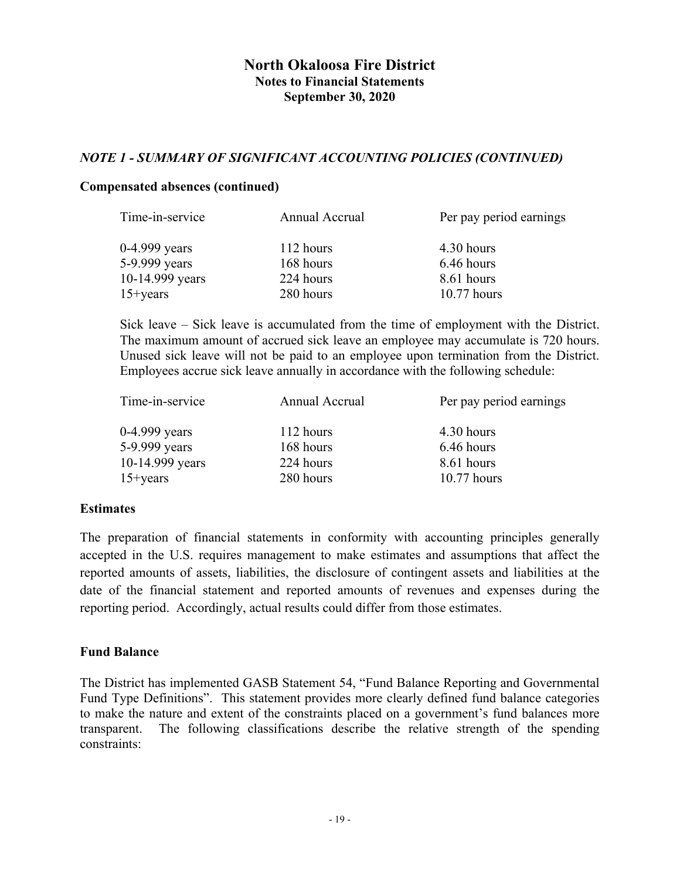### *NOTE 1 - SUMMARY OF SIGNIFICANT ACCOUNTING POLICIES (CONTINUED)*

#### **Compensated absences (continued)**

| Annual Accrual | Per pay period earnings |
|----------------|-------------------------|
| 112 hours      | 4.30 hours              |
| 168 hours      | 6.46 hours              |
| 224 hours      | 8.61 hours              |
| 280 hours      | $10.77$ hours           |
|                |                         |

Sick leave – Sick leave is accumulated from the time of employment with the District. The maximum amount of accrued sick leave an employee may accumulate is 720 hours. Unused sick leave will not be paid to an employee upon termination from the District. Employees accrue sick leave annually in accordance with the following schedule:

| Time-in-service | Annual Accrual | Per pay period earnings |
|-----------------|----------------|-------------------------|
| $0-4.999$ years | 112 hours      | 4.30 hours              |
| 5-9.999 years   | 168 hours      | 6.46 hours              |
| 10-14.999 years | 224 hours      | 8.61 hours              |
| $15 + years$    | 280 hours      | $10.77$ hours           |

### **Estimates**

The preparation of financial statements in conformity with accounting principles generally accepted in the U.S. requires management to make estimates and assumptions that affect the reported amounts of assets, liabilities, the disclosure of contingent assets and liabilities at the date of the financial statement and reported amounts of revenues and expenses during the reporting period. Accordingly, actual results could differ from those estimates.

### **Fund Balance**

The District has implemented GASB Statement 54, "Fund Balance Reporting and Governmental Fund Type Definitions". This statement provides more clearly defined fund balance categories to make the nature and extent of the constraints placed on a government's fund balances more transparent. The following classifications describe the relative strength of the spending constraints: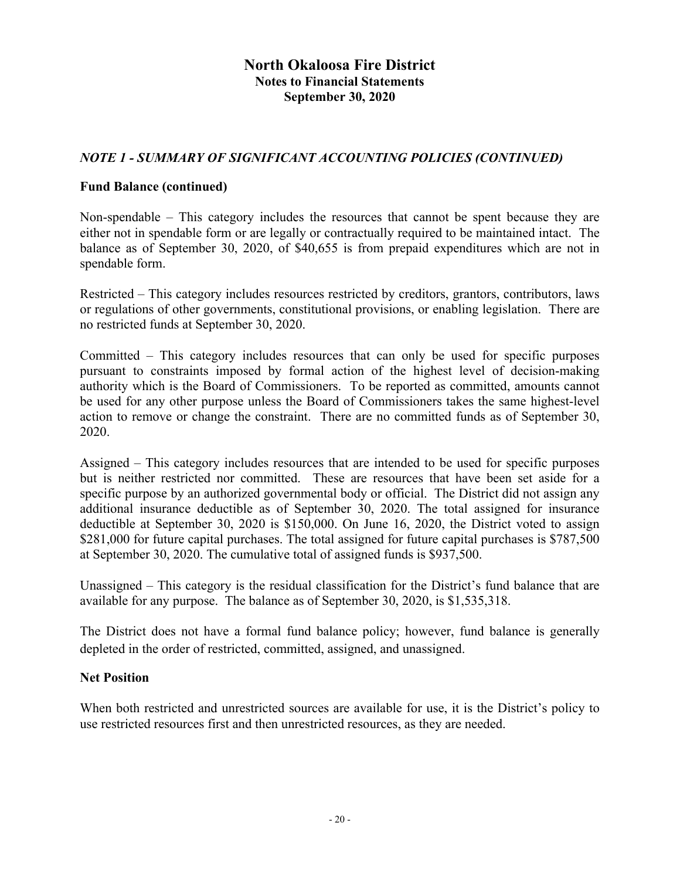### *NOTE 1 - SUMMARY OF SIGNIFICANT ACCOUNTING POLICIES (CONTINUED)*

#### **Fund Balance (continued)**

Non-spendable – This category includes the resources that cannot be spent because they are either not in spendable form or are legally or contractually required to be maintained intact. The balance as of September 30, 2020, of \$40,655 is from prepaid expenditures which are not in spendable form.

Restricted – This category includes resources restricted by creditors, grantors, contributors, laws or regulations of other governments, constitutional provisions, or enabling legislation. There are no restricted funds at September 30, 2020.

Committed – This category includes resources that can only be used for specific purposes pursuant to constraints imposed by formal action of the highest level of decision-making authority which is the Board of Commissioners. To be reported as committed, amounts cannot be used for any other purpose unless the Board of Commissioners takes the same highest-level action to remove or change the constraint. There are no committed funds as of September 30, 2020.

Assigned – This category includes resources that are intended to be used for specific purposes but is neither restricted nor committed. These are resources that have been set aside for a specific purpose by an authorized governmental body or official. The District did not assign any additional insurance deductible as of September 30, 2020. The total assigned for insurance deductible at September 30, 2020 is \$150,000. On June 16, 2020, the District voted to assign \$281,000 for future capital purchases. The total assigned for future capital purchases is \$787,500 at September 30, 2020. The cumulative total of assigned funds is \$937,500.

Unassigned – This category is the residual classification for the District's fund balance that are available for any purpose. The balance as of September 30, 2020, is \$1,535,318.

The District does not have a formal fund balance policy; however, fund balance is generally depleted in the order of restricted, committed, assigned, and unassigned.

#### **Net Position**

When both restricted and unrestricted sources are available for use, it is the District's policy to use restricted resources first and then unrestricted resources, as they are needed.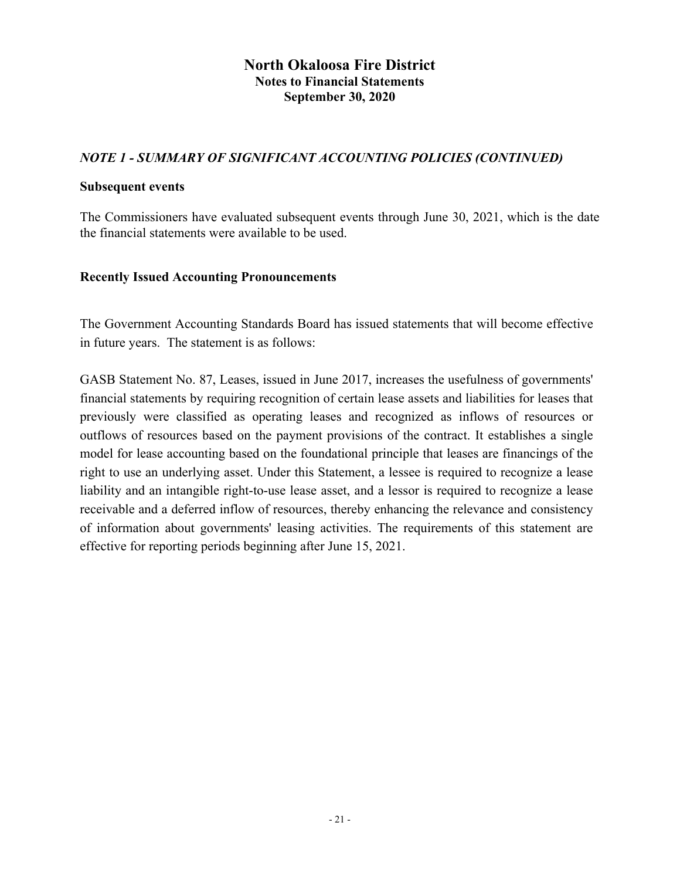### *NOTE 1 - SUMMARY OF SIGNIFICANT ACCOUNTING POLICIES (CONTINUED)*

#### **Subsequent events**

The Commissioners have evaluated subsequent events through June 30, 2021, which is the date the financial statements were available to be used.

#### **Recently Issued Accounting Pronouncements**

The Government Accounting Standards Board has issued statements that will become effective in future years. The statement is as follows:

GASB Statement No. 87, Leases, issued in June 2017, increases the usefulness of governments' financial statements by requiring recognition of certain lease assets and liabilities for leases that previously were classified as operating leases and recognized as inflows of resources or outflows of resources based on the payment provisions of the contract. It establishes a single model for lease accounting based on the foundational principle that leases are financings of the right to use an underlying asset. Under this Statement, a lessee is required to recognize a lease liability and an intangible right-to-use lease asset, and a lessor is required to recognize a lease receivable and a deferred inflow of resources, thereby enhancing the relevance and consistency of information about governments' leasing activities. The requirements of this statement are effective for reporting periods beginning after June 15, 2021.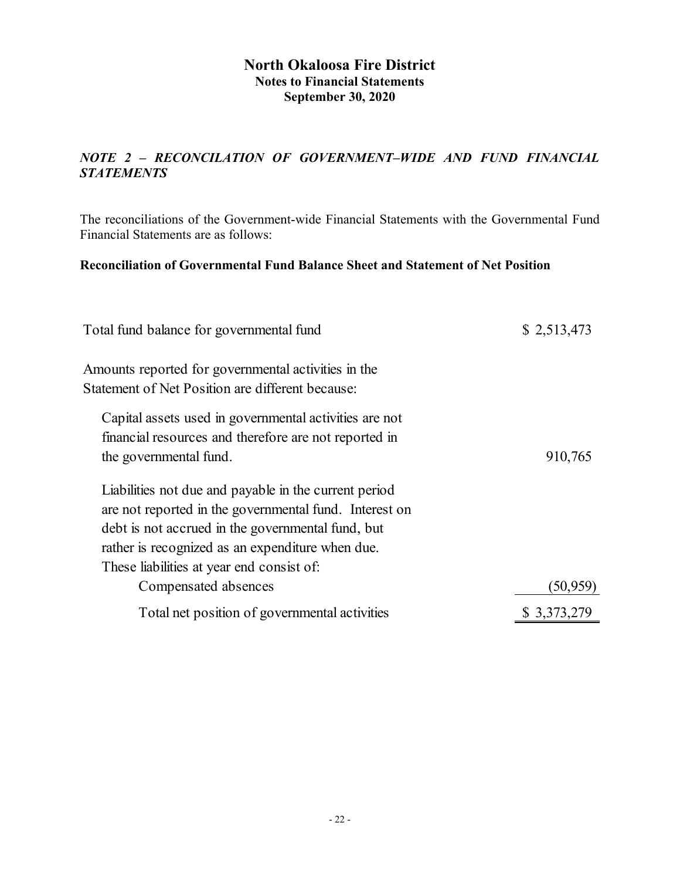## *NOTE 2 – RECONCILATION OF GOVERNMENT–WIDE AND FUND FINANCIAL STATEMENTS*

The reconciliations of the Government-wide Financial Statements with the Governmental Fund Financial Statements are as follows:

#### **Reconciliation of Governmental Fund Balance Sheet and Statement of Net Position**

| Total fund balance for governmental fund                                                                | \$2,513,473 |
|---------------------------------------------------------------------------------------------------------|-------------|
| Amounts reported for governmental activities in the<br>Statement of Net Position are different because: |             |
| Capital assets used in governmental activities are not                                                  |             |
| financial resources and therefore are not reported in                                                   |             |
| the governmental fund.                                                                                  | 910,765     |
| Liabilities not due and payable in the current period                                                   |             |
| are not reported in the governmental fund. Interest on                                                  |             |
| debt is not accrued in the governmental fund, but                                                       |             |
| rather is recognized as an expenditure when due.                                                        |             |
| These liabilities at year end consist of:                                                               |             |
| Compensated absences                                                                                    | (50,959)    |
| Total net position of governmental activities                                                           | \$3,373,279 |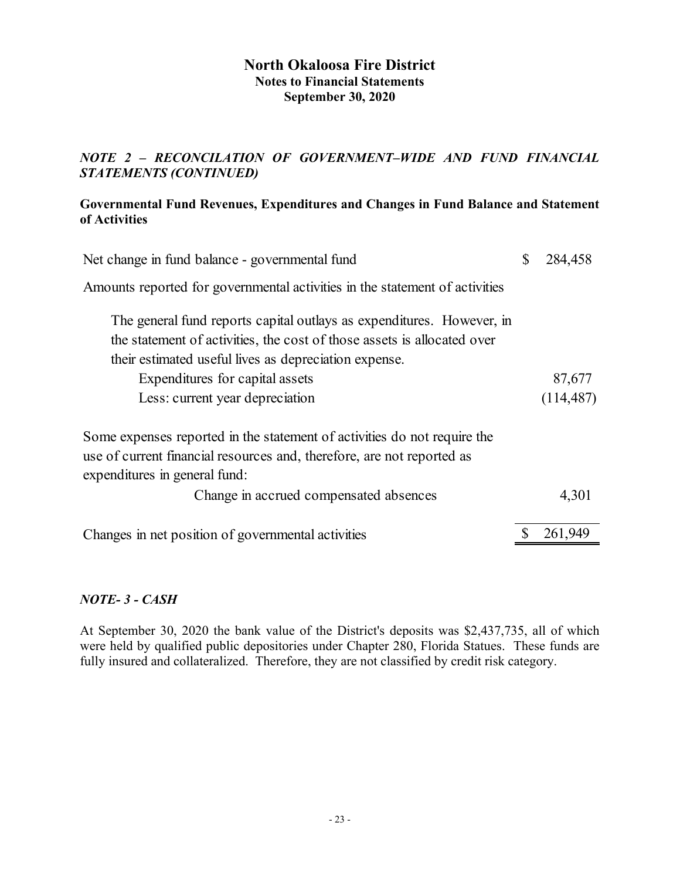## *NOTE 2 – RECONCILATION OF GOVERNMENT–WIDE AND FUND FINANCIAL STATEMENTS (CONTINUED)*

### **Governmental Fund Revenues, Expenditures and Changes in Fund Balance and Statement of Activities**

| Net change in fund balance - governmental fund                                                                                                                                                            | $\mathcal{S}$ | 284,458    |
|-----------------------------------------------------------------------------------------------------------------------------------------------------------------------------------------------------------|---------------|------------|
| Amounts reported for governmental activities in the statement of activities                                                                                                                               |               |            |
| The general fund reports capital outlays as expenditures. However, in<br>the statement of activities, the cost of those assets is allocated over<br>their estimated useful lives as depreciation expense. |               |            |
| Expenditures for capital assets                                                                                                                                                                           |               | 87,677     |
| Less: current year depreciation                                                                                                                                                                           |               | (114, 487) |
| Some expenses reported in the statement of activities do not require the<br>use of current financial resources and, therefore, are not reported as<br>expenditures in general fund:                       |               |            |
| Change in accrued compensated absences                                                                                                                                                                    |               | 4,301      |
|                                                                                                                                                                                                           |               |            |
| Changes in net position of governmental activities                                                                                                                                                        |               | 261,949    |

### *NOTE- 3 - CASH*

At September 30, 2020 the bank value of the District's deposits was \$2,437,735, all of which were held by qualified public depositories under Chapter 280, Florida Statues. These funds are fully insured and collateralized. Therefore, they are not classified by credit risk category.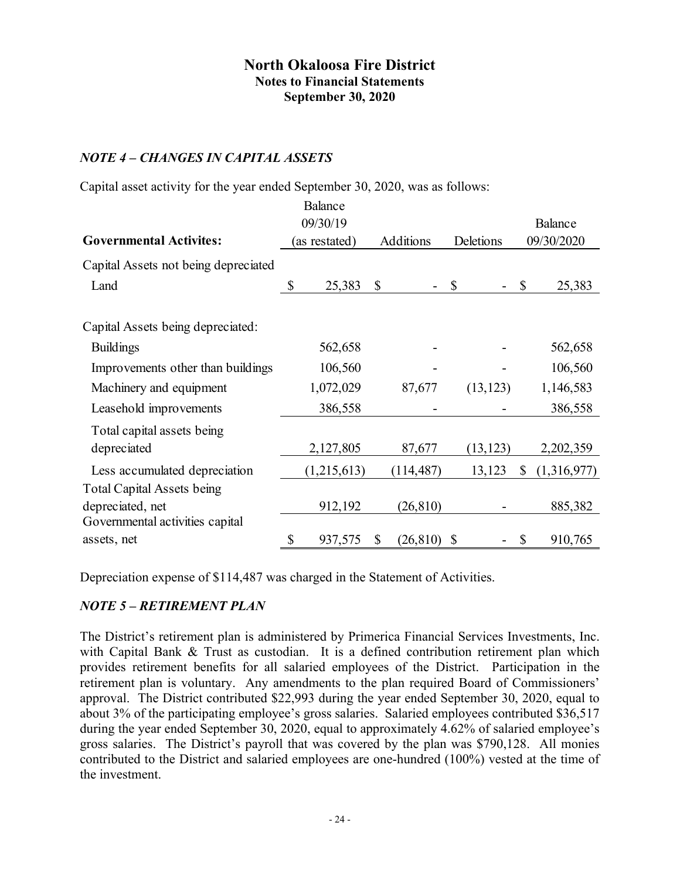### *NOTE 4 – CHANGES IN CAPITAL ASSETS*

Capital asset activity for the year ended September 30, 2020, was as follows:

|                                      |                            | Balance     |           |            |                           |           |              |             |
|--------------------------------------|----------------------------|-------------|-----------|------------|---------------------------|-----------|--------------|-------------|
|                                      | 09/30/19                   |             |           |            | Balance                   |           |              |             |
| <b>Governmental Activites:</b>       | Additions<br>(as restated) |             | Deletions | 09/30/2020 |                           |           |              |             |
| Capital Assets not being depreciated |                            |             |           |            |                           |           |              |             |
| Land                                 | \$                         | 25,383      | \$        |            | $\mathbb{S}$              |           | \$<br>25,383 |             |
|                                      |                            |             |           |            |                           |           |              |             |
| Capital Assets being depreciated:    |                            |             |           |            |                           |           |              |             |
| <b>Buildings</b>                     |                            | 562,658     |           |            |                           |           |              | 562,658     |
| Improvements other than buildings    |                            | 106,560     |           |            |                           |           |              | 106,560     |
| Machinery and equipment              |                            | 1,072,029   |           | 87,677     |                           | (13, 123) |              | 1,146,583   |
| Leasehold improvements               |                            | 386,558     |           |            |                           |           | 386,558      |             |
| Total capital assets being           |                            |             |           |            |                           |           |              |             |
| depreciated                          |                            | 2,127,805   |           | 87,677     |                           | (13, 123) |              | 2,202,359   |
| Less accumulated depreciation        |                            | (1,215,613) |           | (114, 487) |                           | 13,123    | \$           | (1,316,977) |
| <b>Total Capital Assets being</b>    |                            |             |           |            |                           |           |              |             |
| depreciated, net                     |                            | 912,192     |           | (26, 810)  |                           |           |              | 885,382     |
| Governmental activities capital      |                            |             |           |            |                           |           |              |             |
| assets, net                          | \$                         | 937,575     | \$        | (26, 810)  | $\boldsymbol{\mathsf{S}}$ |           | \$           | 910,765     |

Depreciation expense of \$114,487 was charged in the Statement of Activities.

### *NOTE 5 – RETIREMENT PLAN*

The District's retirement plan is administered by Primerica Financial Services Investments, Inc. with Capital Bank & Trust as custodian. It is a defined contribution retirement plan which provides retirement benefits for all salaried employees of the District. Participation in the retirement plan is voluntary. Any amendments to the plan required Board of Commissioners' approval. The District contributed \$22,993 during the year ended September 30, 2020, equal to about 3% of the participating employee's gross salaries. Salaried employees contributed \$36,517 during the year ended September 30, 2020, equal to approximately 4.62% of salaried employee's gross salaries. The District's payroll that was covered by the plan was \$790,128. All monies contributed to the District and salaried employees are one-hundred (100%) vested at the time of the investment.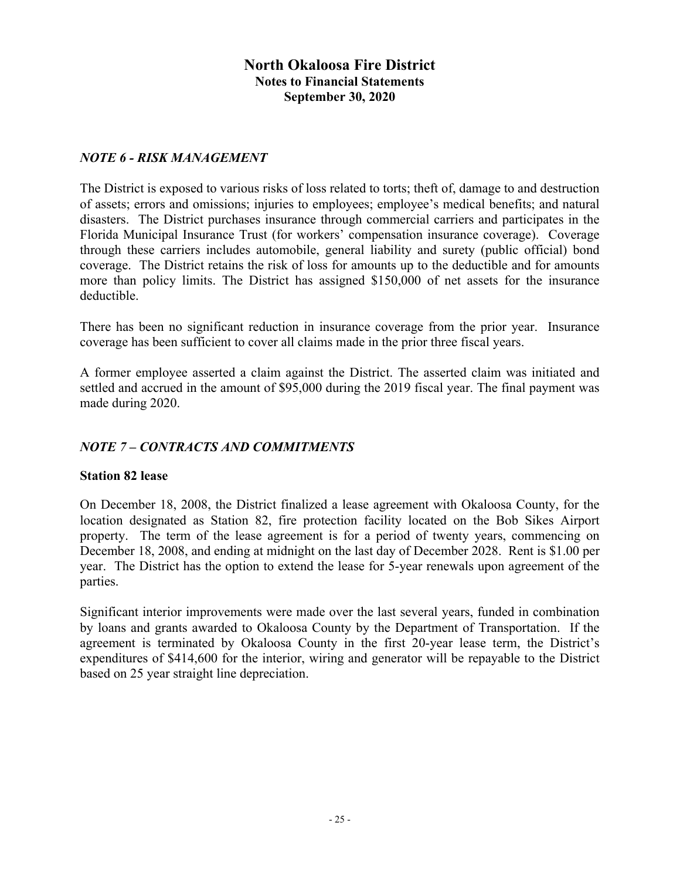#### *NOTE 6 - RISK MANAGEMENT*

The District is exposed to various risks of loss related to torts; theft of, damage to and destruction of assets; errors and omissions; injuries to employees; employee's medical benefits; and natural disasters. The District purchases insurance through commercial carriers and participates in the Florida Municipal Insurance Trust (for workers' compensation insurance coverage). Coverage through these carriers includes automobile, general liability and surety (public official) bond coverage. The District retains the risk of loss for amounts up to the deductible and for amounts more than policy limits. The District has assigned \$150,000 of net assets for the insurance deductible.

There has been no significant reduction in insurance coverage from the prior year. Insurance coverage has been sufficient to cover all claims made in the prior three fiscal years.

A former employee asserted a claim against the District. The asserted claim was initiated and settled and accrued in the amount of \$95,000 during the 2019 fiscal year. The final payment was made during 2020.

### *NOTE 7 – CONTRACTS AND COMMITMENTS*

#### **Station 82 lease**

On December 18, 2008, the District finalized a lease agreement with Okaloosa County, for the location designated as Station 82, fire protection facility located on the Bob Sikes Airport property. The term of the lease agreement is for a period of twenty years, commencing on December 18, 2008, and ending at midnight on the last day of December 2028. Rent is \$1.00 per year. The District has the option to extend the lease for 5-year renewals upon agreement of the parties.

Significant interior improvements were made over the last several years, funded in combination by loans and grants awarded to Okaloosa County by the Department of Transportation. If the agreement is terminated by Okaloosa County in the first 20-year lease term, the District's expenditures of \$414,600 for the interior, wiring and generator will be repayable to the District based on 25 year straight line depreciation.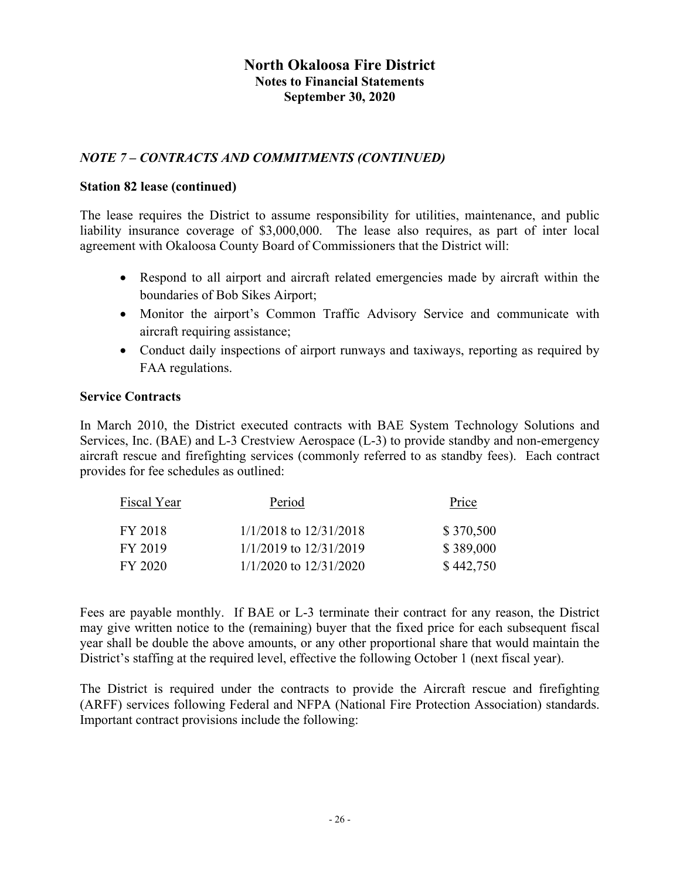## *NOTE 7 – CONTRACTS AND COMMITMENTS (CONTINUED)*

#### **Station 82 lease (continued)**

The lease requires the District to assume responsibility for utilities, maintenance, and public liability insurance coverage of \$3,000,000. The lease also requires, as part of inter local agreement with Okaloosa County Board of Commissioners that the District will:

- Respond to all airport and aircraft related emergencies made by aircraft within the boundaries of Bob Sikes Airport;
- Monitor the airport's Common Traffic Advisory Service and communicate with aircraft requiring assistance;
- Conduct daily inspections of airport runways and taxiways, reporting as required by FAA regulations.

#### **Service Contracts**

In March 2010, the District executed contracts with BAE System Technology Solutions and Services, Inc. (BAE) and L-3 Crestview Aerospace (L-3) to provide standby and non-emergency aircraft rescue and firefighting services (commonly referred to as standby fees). Each contract provides for fee schedules as outlined:

| Fiscal Year | Period                     | Price     |
|-------------|----------------------------|-----------|
| FY 2018     | $1/1/2018$ to $12/31/2018$ | \$370,500 |
| FY 2019     | $1/1/2019$ to $12/31/2019$ | \$389,000 |
| FY 2020     | $1/1/2020$ to $12/31/2020$ | \$442,750 |

Fees are payable monthly. If BAE or L-3 terminate their contract for any reason, the District may give written notice to the (remaining) buyer that the fixed price for each subsequent fiscal year shall be double the above amounts, or any other proportional share that would maintain the District's staffing at the required level, effective the following October 1 (next fiscal year).

The District is required under the contracts to provide the Aircraft rescue and firefighting (ARFF) services following Federal and NFPA (National Fire Protection Association) standards. Important contract provisions include the following: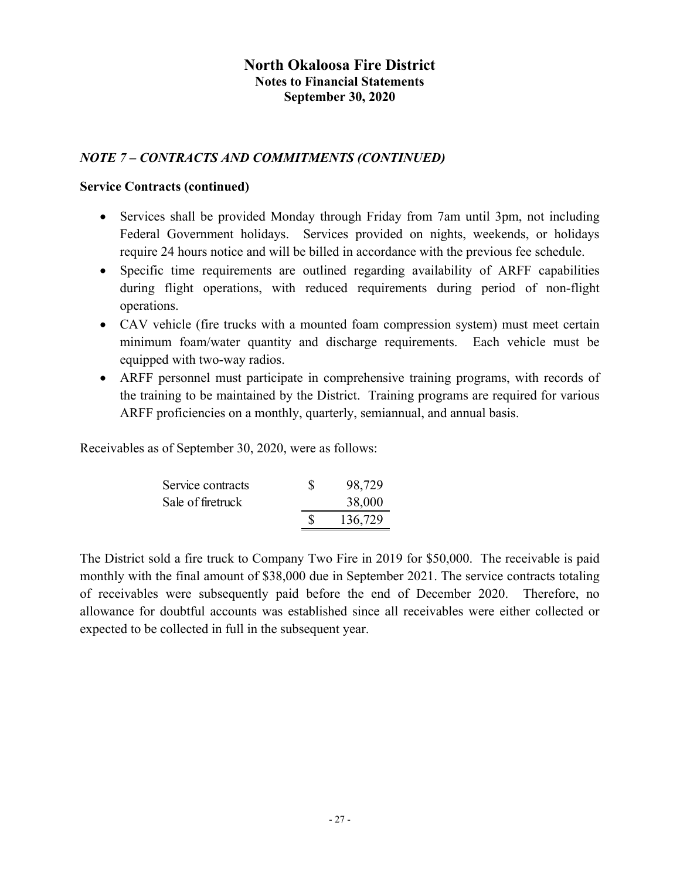### *NOTE 7 – CONTRACTS AND COMMITMENTS (CONTINUED)*

#### **Service Contracts (continued)**

- Services shall be provided Monday through Friday from 7am until 3pm, not including Federal Government holidays. Services provided on nights, weekends, or holidays require 24 hours notice and will be billed in accordance with the previous fee schedule.
- Specific time requirements are outlined regarding availability of ARFF capabilities during flight operations, with reduced requirements during period of non-flight operations.
- CAV vehicle (fire trucks with a mounted foam compression system) must meet certain minimum foam/water quantity and discharge requirements. Each vehicle must be equipped with two-way radios.
- ARFF personnel must participate in comprehensive training programs, with records of the training to be maintained by the District. Training programs are required for various ARFF proficiencies on a monthly, quarterly, semiannual, and annual basis.

Receivables as of September 30, 2020, were as follows:

| Service contracts | S | 98,729  |  |  |
|-------------------|---|---------|--|--|
| Sale of firetruck |   | 38,000  |  |  |
|                   |   | 136,729 |  |  |

The District sold a fire truck to Company Two Fire in 2019 for \$50,000. The receivable is paid monthly with the final amount of \$38,000 due in September 2021. The service contracts totaling of receivables were subsequently paid before the end of December 2020. Therefore, no allowance for doubtful accounts was established since all receivables were either collected or expected to be collected in full in the subsequent year.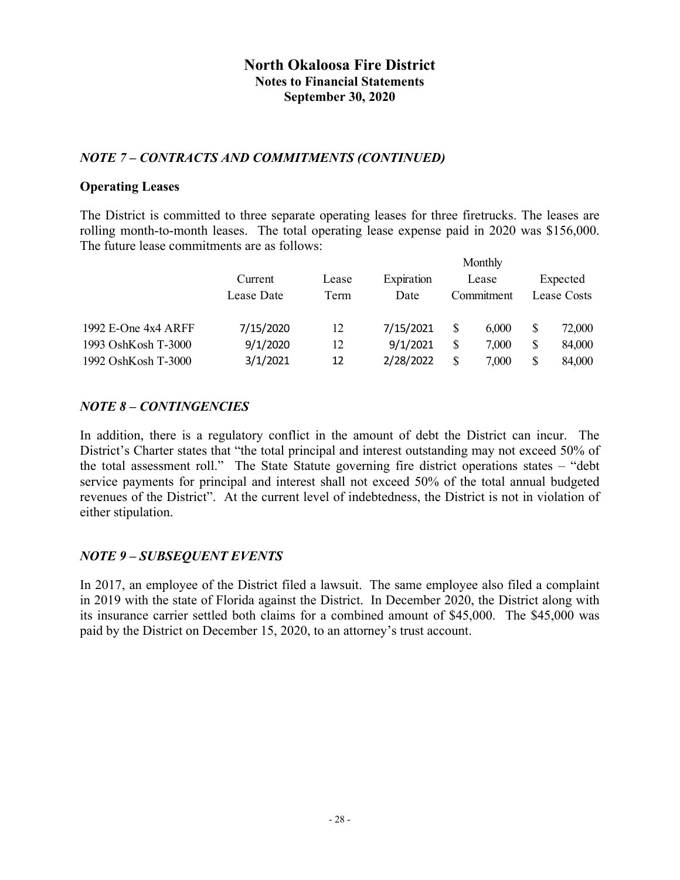### *NOTE 7 – CONTRACTS AND COMMITMENTS (CONTINUED)*

#### **Operating Leases**

The District is committed to three separate operating leases for three firetrucks. The leases are rolling month-to-month leases. The total operating lease expense paid in 2020 was \$156,000. The future lease commitments are as follows:

 $M_2$  and  $L_2$ 

|                     |            |       |            |     | <b>NIONIAIV</b> |              |
|---------------------|------------|-------|------------|-----|-----------------|--------------|
|                     | Current    | Lease | Expiration |     | Lease           | Expected     |
|                     | Lease Date | Term  | Date       |     | Commitment      | Lease Costs  |
| 1992 E-One 4x4 ARFF | 7/15/2020  | 12    | 7/15/2021  | S   | 6.000           | \$<br>72,000 |
| 1993 OshKosh T-3000 | 9/1/2020   | 12    | 9/1/2021   | \$. | 7,000           | \$<br>84,000 |
| 1992 OshKosh T-3000 | 3/1/2021   | 12    | 2/28/2022  | \$  | 7,000           | \$<br>84,000 |

### *NOTE 8 – CONTINGENCIES*

In addition, there is a regulatory conflict in the amount of debt the District can incur. The District's Charter states that "the total principal and interest outstanding may not exceed 50% of the total assessment roll." The State Statute governing fire district operations states – "debt service payments for principal and interest shall not exceed 50% of the total annual budgeted revenues of the District". At the current level of indebtedness, the District is not in violation of either stipulation.

### *NOTE 9 – SUBSEQUENT EVENTS*

In 2017, an employee of the District filed a lawsuit. The same employee also filed a complaint in 2019 with the state of Florida against the District. In December 2020, the District along with its insurance carrier settled both claims for a combined amount of \$45,000. The \$45,000 was paid by the District on December 15, 2020, to an attorney's trust account.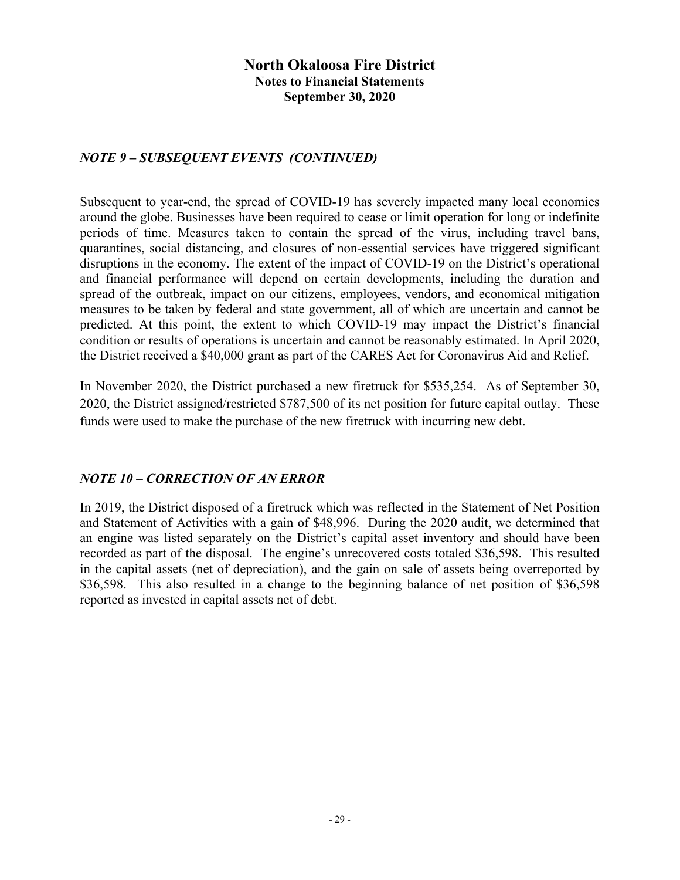### *NOTE 9 – SUBSEQUENT EVENTS (CONTINUED)*

Subsequent to year-end, the spread of COVID-19 has severely impacted many local economies around the globe. Businesses have been required to cease or limit operation for long or indefinite periods of time. Measures taken to contain the spread of the virus, including travel bans, quarantines, social distancing, and closures of non-essential services have triggered significant disruptions in the economy. The extent of the impact of COVID-19 on the District's operational and financial performance will depend on certain developments, including the duration and spread of the outbreak, impact on our citizens, employees, vendors, and economical mitigation measures to be taken by federal and state government, all of which are uncertain and cannot be predicted. At this point, the extent to which COVID-19 may impact the District's financial condition or results of operations is uncertain and cannot be reasonably estimated. In April 2020, the District received a \$40,000 grant as part of the CARES Act for Coronavirus Aid and Relief.

In November 2020, the District purchased a new firetruck for \$535,254. As of September 30, 2020, the District assigned/restricted \$787,500 of its net position for future capital outlay. These funds were used to make the purchase of the new firetruck with incurring new debt.

### *NOTE 10 – CORRECTION OF AN ERROR*

In 2019, the District disposed of a firetruck which was reflected in the Statement of Net Position and Statement of Activities with a gain of \$48,996. During the 2020 audit, we determined that an engine was listed separately on the District's capital asset inventory and should have been recorded as part of the disposal. The engine's unrecovered costs totaled \$36,598. This resulted in the capital assets (net of depreciation), and the gain on sale of assets being overreported by \$36,598. This also resulted in a change to the beginning balance of net position of \$36,598 reported as invested in capital assets net of debt.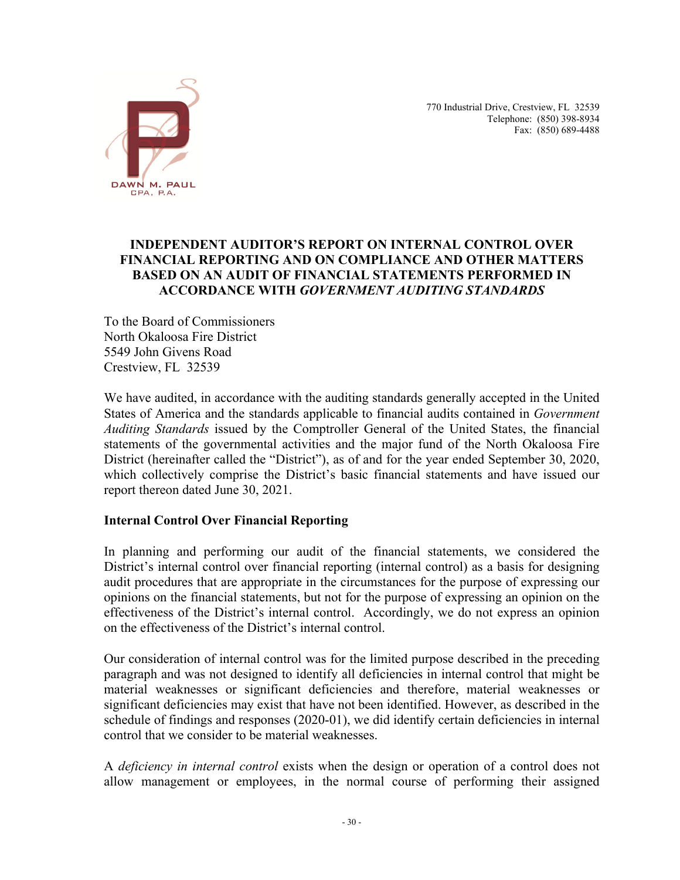

 770 Industrial Drive, Crestview, FL 32539 Telephone: (850) 398-8934 Fax: (850) 689-4488

#### **INDEPENDENT AUDITOR'S REPORT ON INTERNAL CONTROL OVER FINANCIAL REPORTING AND ON COMPLIANCE AND OTHER MATTERS BASED ON AN AUDIT OF FINANCIAL STATEMENTS PERFORMED IN ACCORDANCE WITH** *GOVERNMENT AUDITING STANDARDS*

To the Board of Commissioners North Okaloosa Fire District 5549 John Givens Road Crestview, FL 32539

We have audited, in accordance with the auditing standards generally accepted in the United States of America and the standards applicable to financial audits contained in *Government Auditing Standards* issued by the Comptroller General of the United States, the financial statements of the governmental activities and the major fund of the North Okaloosa Fire District (hereinafter called the "District"), as of and for the year ended September 30, 2020, which collectively comprise the District's basic financial statements and have issued our report thereon dated June 30, 2021.

#### **Internal Control Over Financial Reporting**

In planning and performing our audit of the financial statements, we considered the District's internal control over financial reporting (internal control) as a basis for designing audit procedures that are appropriate in the circumstances for the purpose of expressing our opinions on the financial statements, but not for the purpose of expressing an opinion on the effectiveness of the District's internal control. Accordingly, we do not express an opinion on the effectiveness of the District's internal control.

Our consideration of internal control was for the limited purpose described in the preceding paragraph and was not designed to identify all deficiencies in internal control that might be material weaknesses or significant deficiencies and therefore, material weaknesses or significant deficiencies may exist that have not been identified. However, as described in the schedule of findings and responses (2020-01), we did identify certain deficiencies in internal control that we consider to be material weaknesses.

A *deficiency in internal control* exists when the design or operation of a control does not allow management or employees, in the normal course of performing their assigned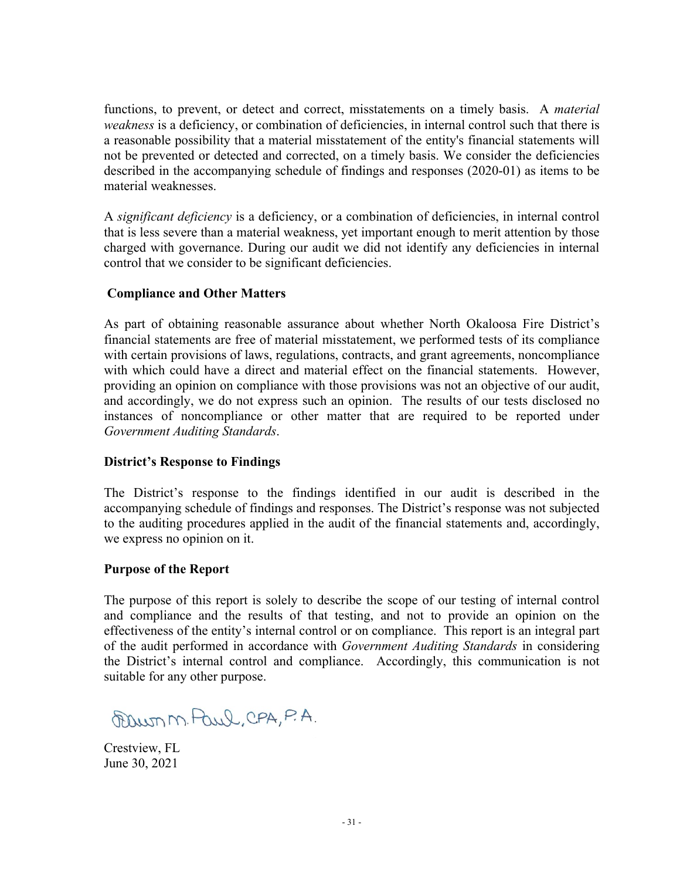functions, to prevent, or detect and correct, misstatements on a timely basis. A *material weakness* is a deficiency, or combination of deficiencies, in internal control such that there is a reasonable possibility that a material misstatement of the entity's financial statements will not be prevented or detected and corrected, on a timely basis. We consider the deficiencies described in the accompanying schedule of findings and responses (2020-01) as items to be material weaknesses.

A *significant deficiency* is a deficiency, or a combination of deficiencies, in internal control that is less severe than a material weakness, yet important enough to merit attention by those charged with governance. During our audit we did not identify any deficiencies in internal control that we consider to be significant deficiencies.

#### **Compliance and Other Matters**

As part of obtaining reasonable assurance about whether North Okaloosa Fire District's financial statements are free of material misstatement, we performed tests of its compliance with certain provisions of laws, regulations, contracts, and grant agreements, noncompliance with which could have a direct and material effect on the financial statements. However, providing an opinion on compliance with those provisions was not an objective of our audit, and accordingly, we do not express such an opinion. The results of our tests disclosed no instances of noncompliance or other matter that are required to be reported under *Government Auditing Standards*.

#### **District's Response to Findings**

The District's response to the findings identified in our audit is described in the accompanying schedule of findings and responses. The District's response was not subjected to the auditing procedures applied in the audit of the financial statements and, accordingly, we express no opinion on it.

#### **Purpose of the Report**

The purpose of this report is solely to describe the scope of our testing of internal control and compliance and the results of that testing, and not to provide an opinion on the effectiveness of the entity's internal control or on compliance. This report is an integral part of the audit performed in accordance with *Government Auditing Standards* in considering the District's internal control and compliance. Accordingly, this communication is not suitable for any other purpose.

~ N'). ~, 0..PA, PA.

Crestview, FL June 30, 2021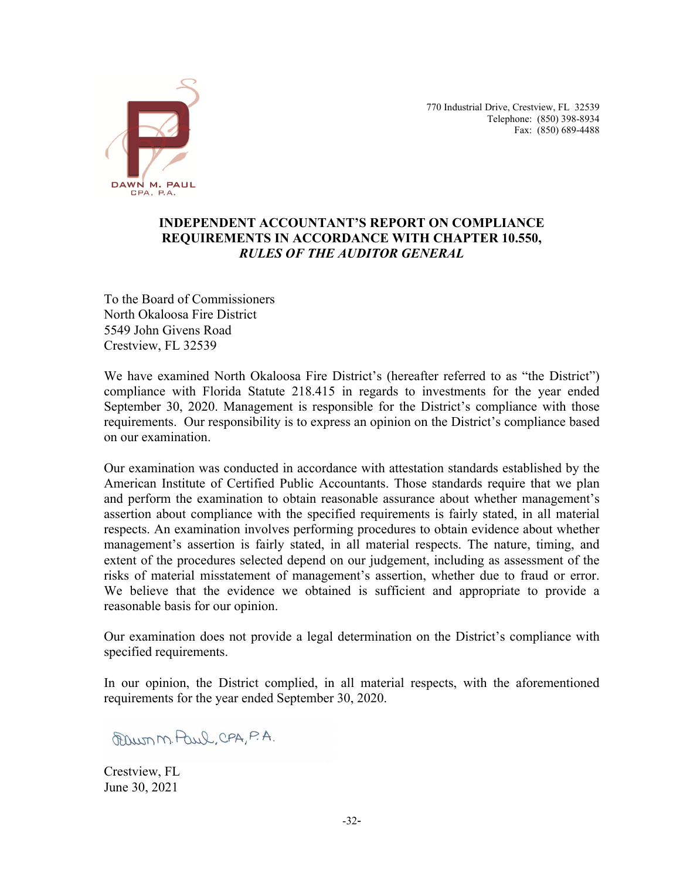

770 Industrial Drive, Crestview, FL 32539 Telephone: (850) 398-8934 Fax: (850) 689-4488

### **INDEPENDENT ACCOUNTANT'S REPORT ON COMPLIANCE REQUIREMENTS IN ACCORDANCE WITH CHAPTER 10.550,** *RULES OF THE AUDITOR GENERAL*

To the Board of Commissioners North Okaloosa Fire District 5549 John Givens Road Crestview, FL 32539

We have examined North Okaloosa Fire District's (hereafter referred to as "the District") compliance with Florida Statute 218.415 in regards to investments for the year ended September 30, 2020. Management is responsible for the District's compliance with those requirements. Our responsibility is to express an opinion on the District's compliance based on our examination.

Our examination was conducted in accordance with attestation standards established by the American Institute of Certified Public Accountants. Those standards require that we plan and perform the examination to obtain reasonable assurance about whether management's assertion about compliance with the specified requirements is fairly stated, in all material respects. An examination involves performing procedures to obtain evidence about whether management's assertion is fairly stated, in all material respects. The nature, timing, and extent of the procedures selected depend on our judgement, including as assessment of the risks of material misstatement of management's assertion, whether due to fraud or error. We believe that the evidence we obtained is sufficient and appropriate to provide a reasonable basis for our opinion.

Our examination does not provide a legal determination on the District's compliance with specified requirements.

In our opinion, the District complied, in all material respects, with the aforementioned requirements for the year ended September 30, 2020.

~ N"). ~, 0..PA, P.A.

Crestview, FL June 30, 2021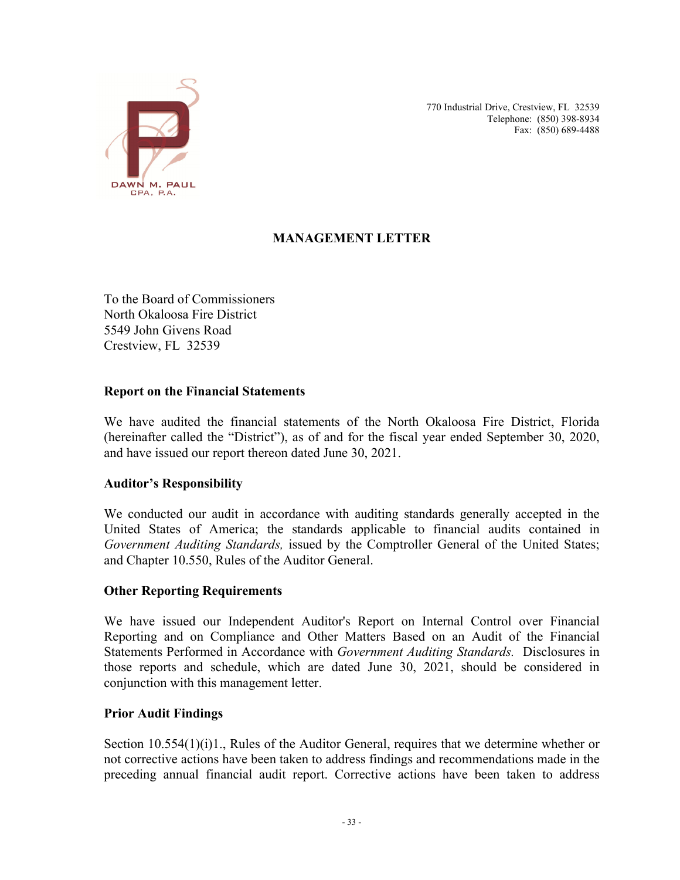

770 Industrial Drive, Crestview, FL 32539 Telephone: (850) 398-8934 Fax: (850) 689-4488

# **MANAGEMENT LETTER**

To the Board of Commissioners North Okaloosa Fire District 5549 John Givens Road Crestview, FL 32539

#### **Report on the Financial Statements**

We have audited the financial statements of the North Okaloosa Fire District, Florida (hereinafter called the "District"), as of and for the fiscal year ended September 30, 2020, and have issued our report thereon dated June 30, 2021.

### **Auditor's Responsibility**

We conducted our audit in accordance with auditing standards generally accepted in the United States of America; the standards applicable to financial audits contained in *Government Auditing Standards,* issued by the Comptroller General of the United States; and Chapter 10.550, Rules of the Auditor General.

#### **Other Reporting Requirements**

We have issued our Independent Auditor's Report on Internal Control over Financial Reporting and on Compliance and Other Matters Based on an Audit of the Financial Statements Performed in Accordance with *Government Auditing Standards.* Disclosures in those reports and schedule, which are dated June 30, 2021, should be considered in conjunction with this management letter.

#### **Prior Audit Findings**

Section 10.554(1)(i)1., Rules of the Auditor General, requires that we determine whether or not corrective actions have been taken to address findings and recommendations made in the preceding annual financial audit report. Corrective actions have been taken to address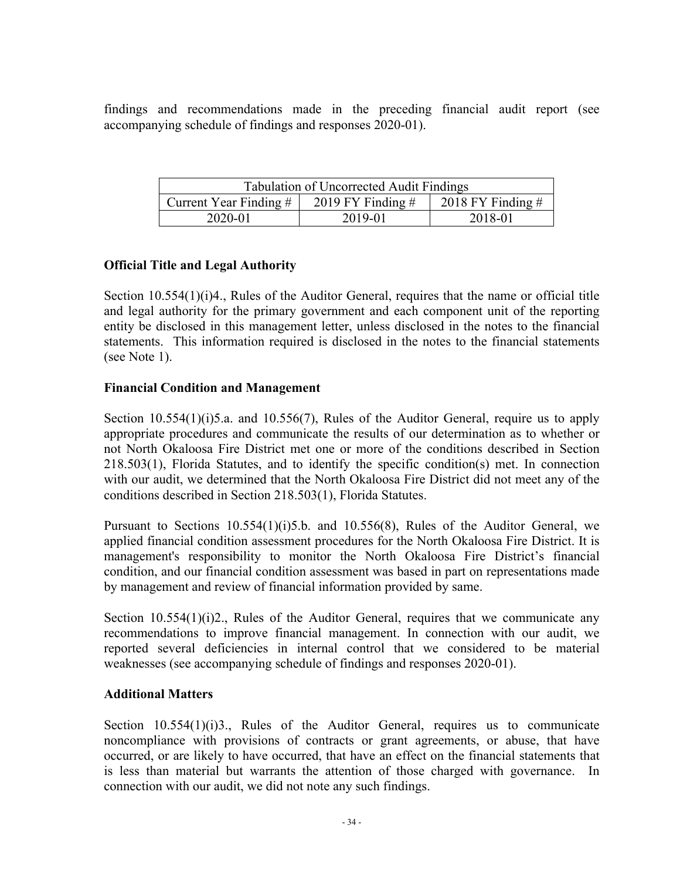findings and recommendations made in the preceding financial audit report (see accompanying schedule of findings and responses 2020-01).

| <b>Tabulation of Uncorrected Audit Findings</b>                        |         |         |  |  |  |
|------------------------------------------------------------------------|---------|---------|--|--|--|
| 2018 FY Finding $#$<br>2019 FY Finding $#$<br>Current Year Finding $#$ |         |         |  |  |  |
| 2020-01                                                                | 2019-01 | 2018-01 |  |  |  |

#### **Official Title and Legal Authority**

Section 10.554(1)(i)4., Rules of the Auditor General, requires that the name or official title and legal authority for the primary government and each component unit of the reporting entity be disclosed in this management letter, unless disclosed in the notes to the financial statements. This information required is disclosed in the notes to the financial statements (see Note 1).

#### **Financial Condition and Management**

Section 10.554(1)(i)5.a. and 10.556(7), Rules of the Auditor General, require us to apply appropriate procedures and communicate the results of our determination as to whether or not North Okaloosa Fire District met one or more of the conditions described in Section 218.503(1), Florida Statutes, and to identify the specific condition(s) met. In connection with our audit, we determined that the North Okaloosa Fire District did not meet any of the conditions described in Section 218.503(1), Florida Statutes.

Pursuant to Sections 10.554(1)(i)5.b. and 10.556(8), Rules of the Auditor General, we applied financial condition assessment procedures for the North Okaloosa Fire District. It is management's responsibility to monitor the North Okaloosa Fire District's financial condition, and our financial condition assessment was based in part on representations made by management and review of financial information provided by same.

Section 10.554(1)(i)2., Rules of the Auditor General, requires that we communicate any recommendations to improve financial management. In connection with our audit, we reported several deficiencies in internal control that we considered to be material weaknesses (see accompanying schedule of findings and responses 2020-01).

### **Additional Matters**

Section 10.554(1)(i)3., Rules of the Auditor General, requires us to communicate noncompliance with provisions of contracts or grant agreements, or abuse, that have occurred, or are likely to have occurred, that have an effect on the financial statements that is less than material but warrants the attention of those charged with governance. In connection with our audit, we did not note any such findings.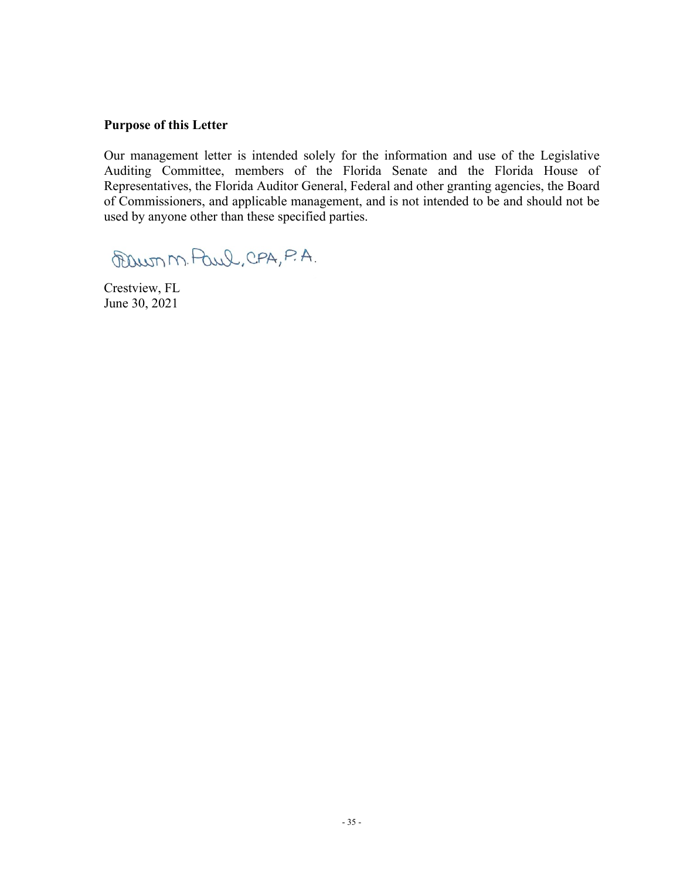#### **Purpose of this Letter**

Our management letter is intended solely for the information and use of the Legislative Auditing Committee, members of the Florida Senate and the Florida House of Representatives, the Florida Auditor General, Federal and other granting agencies, the Board of Commissioners, and applicable management, and is not intended to be and should not be used by anyone other than these specified parties.

®umN'i.~,QPA,PA.

Crestview, FL June 30, 2021